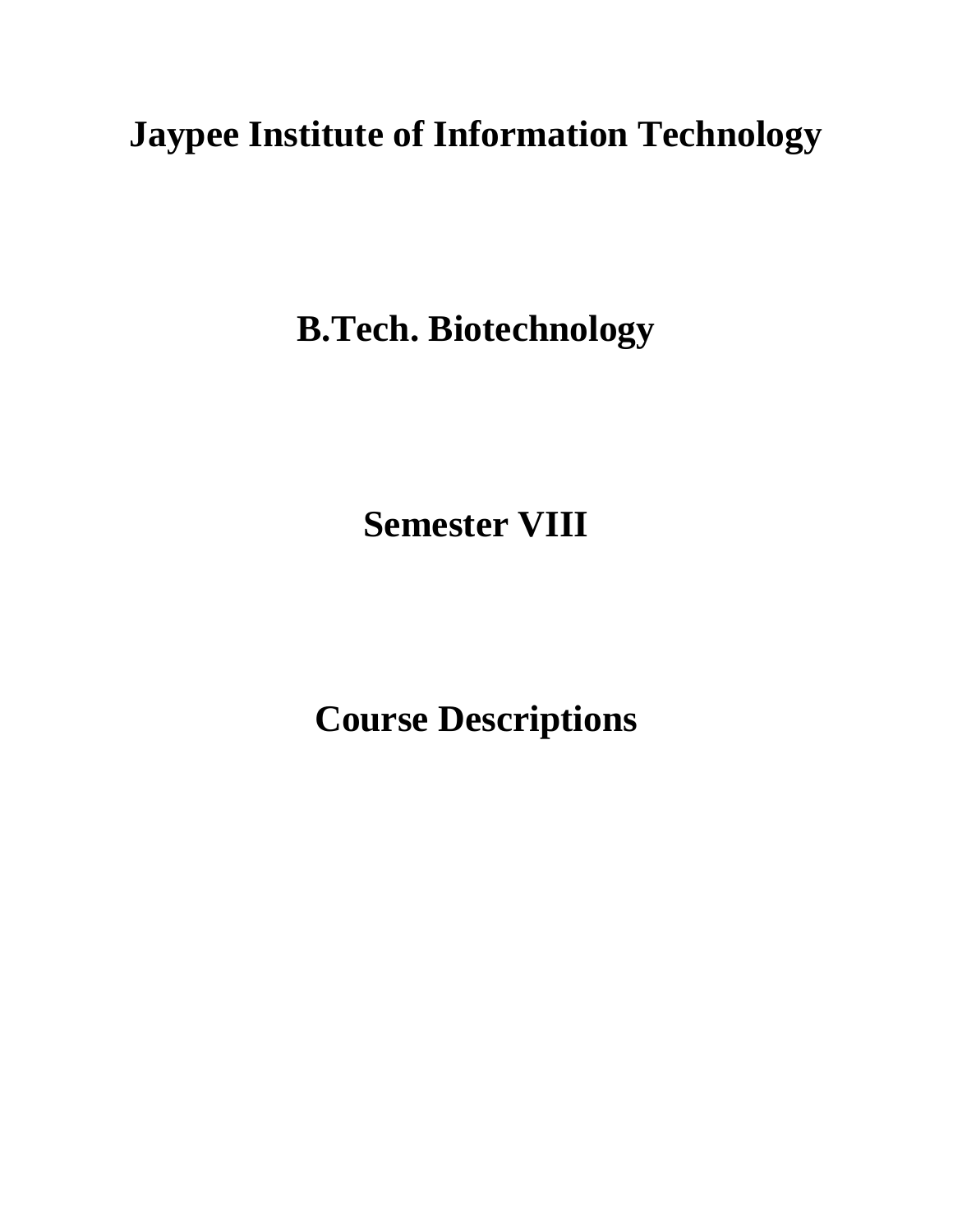# **Jaypee Institute of Information Technology**

**B.Tech. Biotechnology**

**Semester VIII**

**Course Descriptions**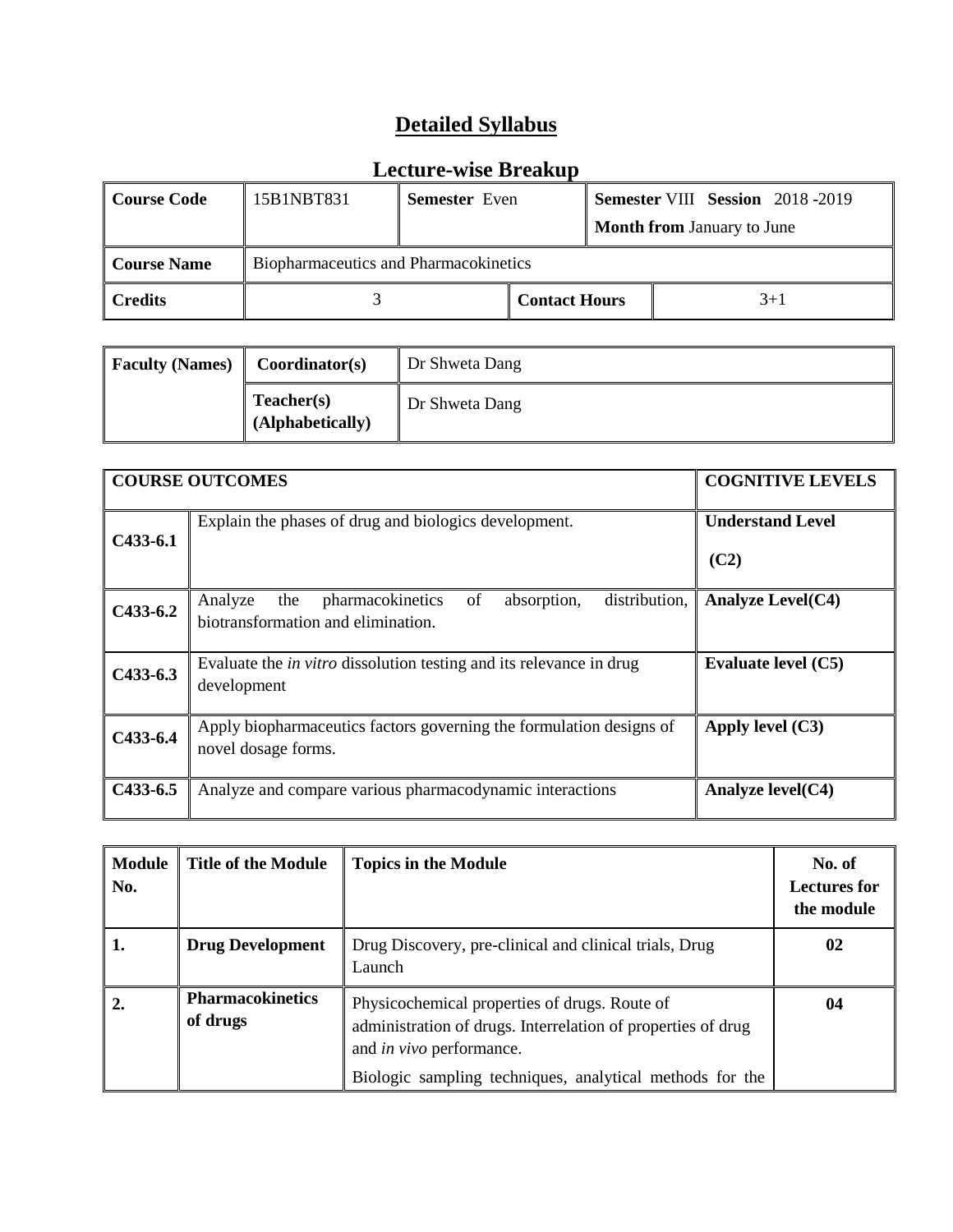| Course Code        | 15B1NBT831                            | <b>Semester</b> Even |                      |  | <b>Semester VIII Session</b> 2018-2019 |
|--------------------|---------------------------------------|----------------------|----------------------|--|----------------------------------------|
|                    |                                       |                      |                      |  | <b>Month from January to June</b>      |
| <b>Course Name</b> | Biopharmaceutics and Pharmacokinetics |                      |                      |  |                                        |
| $\ $ Credits       |                                       |                      | <b>Contact Hours</b> |  | $3+1$                                  |

| <b>Faculty (Names)</b> | Coordinator(s)                 | Dr Shweta Dang |
|------------------------|--------------------------------|----------------|
|                        | Teacher(s)<br>(Alphabetically) | Dr Shweta Dang |

|                                                                            | <b>COGNITIVE LEVELS</b>                                                                            |
|----------------------------------------------------------------------------|----------------------------------------------------------------------------------------------------|
| Explain the phases of drug and biologics development.                      | <b>Understand Level</b>                                                                            |
|                                                                            | (C2)                                                                                               |
| pharmacokinetics<br>Analyze<br>absorption,<br>distribution,<br>the<br>of   | <b>Analyze Level(C4)</b>                                                                           |
|                                                                            |                                                                                                    |
| Evaluate the <i>in vitro</i> dissolution testing and its relevance in drug | Evaluate level (C5)                                                                                |
|                                                                            |                                                                                                    |
| Apply biopharmaceutics factors governing the formulation designs of        | Apply level $(C3)$                                                                                 |
|                                                                            |                                                                                                    |
| Analyze and compare various pharmacodynamic interactions                   | Analyze $level(C4)$                                                                                |
|                                                                            | <b>COURSE OUTCOMES</b><br>biotransformation and elimination.<br>development<br>novel dosage forms. |

| <b>Module</b><br>No. | <b>Title of the Module</b>          | <b>Topics in the Module</b>                                                                                                                                                                                  | No. of<br><b>Lectures for</b><br>the module |
|----------------------|-------------------------------------|--------------------------------------------------------------------------------------------------------------------------------------------------------------------------------------------------------------|---------------------------------------------|
| 1.                   | <b>Drug Development</b>             | Drug Discovery, pre-clinical and clinical trials, Drug<br>Launch                                                                                                                                             | 02                                          |
|                      | <b>Pharmacokinetics</b><br>of drugs | Physicochemical properties of drugs. Route of<br>administration of drugs. Interrelation of properties of drug<br>and <i>in vivo</i> performance.<br>Biologic sampling techniques, analytical methods for the | 04                                          |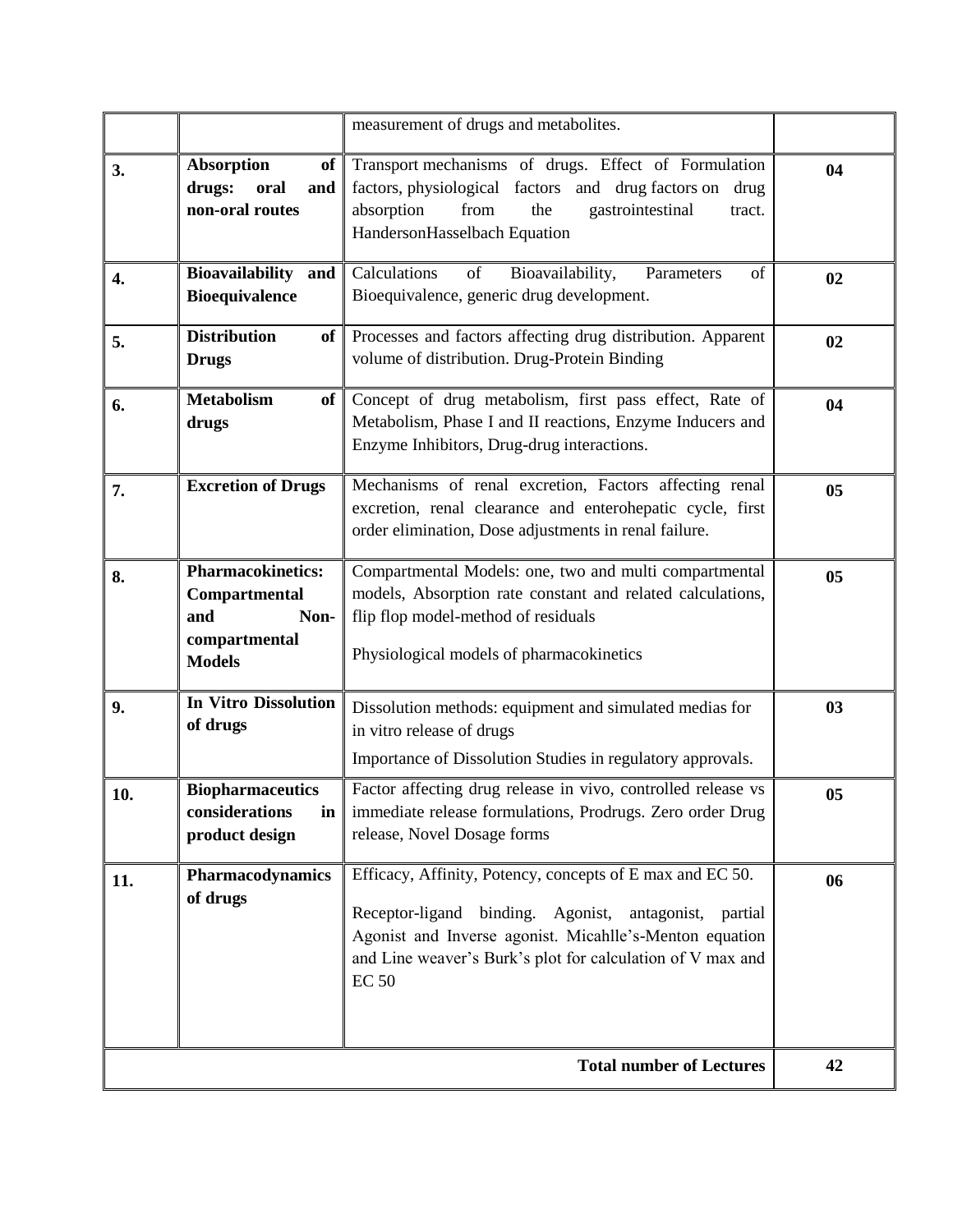|     |                                                                                            | measurement of drugs and metabolites.                                                                                                                                                                                                                       |    |
|-----|--------------------------------------------------------------------------------------------|-------------------------------------------------------------------------------------------------------------------------------------------------------------------------------------------------------------------------------------------------------------|----|
| 3.  | <b>Absorption</b><br>of<br>drugs:<br>oral<br>and<br>non-oral routes                        | Transport mechanisms of drugs. Effect of Formulation<br>factors, physiological factors and drug factors on<br>drug<br>absorption<br>from<br>the<br>gastrointestinal<br>tract.<br>HandersonHasselbach Equation                                               | 04 |
| 4.  | <b>Bioavailability</b><br>and<br><b>Bioequivalence</b>                                     | Calculations<br>Bioavailability,<br>Parameters<br>of<br>of<br>Bioequivalence, generic drug development.                                                                                                                                                     | 02 |
| 5.  | <b>Distribution</b><br>of<br><b>Drugs</b>                                                  | Processes and factors affecting drug distribution. Apparent<br>volume of distribution. Drug-Protein Binding                                                                                                                                                 | 02 |
| 6.  | <b>Metabolism</b><br>of<br>drugs                                                           | Concept of drug metabolism, first pass effect, Rate of<br>Metabolism, Phase I and II reactions, Enzyme Inducers and<br>Enzyme Inhibitors, Drug-drug interactions.                                                                                           | 04 |
| 7.  | <b>Excretion of Drugs</b>                                                                  | Mechanisms of renal excretion, Factors affecting renal<br>excretion, renal clearance and enterohepatic cycle, first<br>order elimination, Dose adjustments in renal failure.                                                                                | 05 |
| 8.  | <b>Pharmacokinetics:</b><br>Compartmental<br>and<br>Non-<br>compartmental<br><b>Models</b> | Compartmental Models: one, two and multi compartmental<br>models, Absorption rate constant and related calculations,<br>flip flop model-method of residuals<br>Physiological models of pharmacokinetics                                                     | 05 |
| 9.  | In Vitro Dissolution<br>of drugs                                                           | Dissolution methods: equipment and simulated medias for<br>in vitro release of drugs<br>Importance of Dissolution Studies in regulatory approvals.                                                                                                          | 03 |
| 10. | <b>Biopharmaceutics</b><br>considerations<br>in<br>product design                          | Factor affecting drug release in vivo, controlled release vs<br>immediate release formulations, Prodrugs. Zero order Drug<br>release, Novel Dosage forms                                                                                                    | 05 |
| 11. | Pharmacodynamics<br>of drugs                                                               | Efficacy, Affinity, Potency, concepts of E max and EC 50.<br>Receptor-ligand binding. Agonist, antagonist, partial<br>Agonist and Inverse agonist. Micahlle's-Menton equation<br>and Line weaver's Burk's plot for calculation of V max and<br><b>EC 50</b> | 06 |
|     |                                                                                            | <b>Total number of Lectures</b>                                                                                                                                                                                                                             | 42 |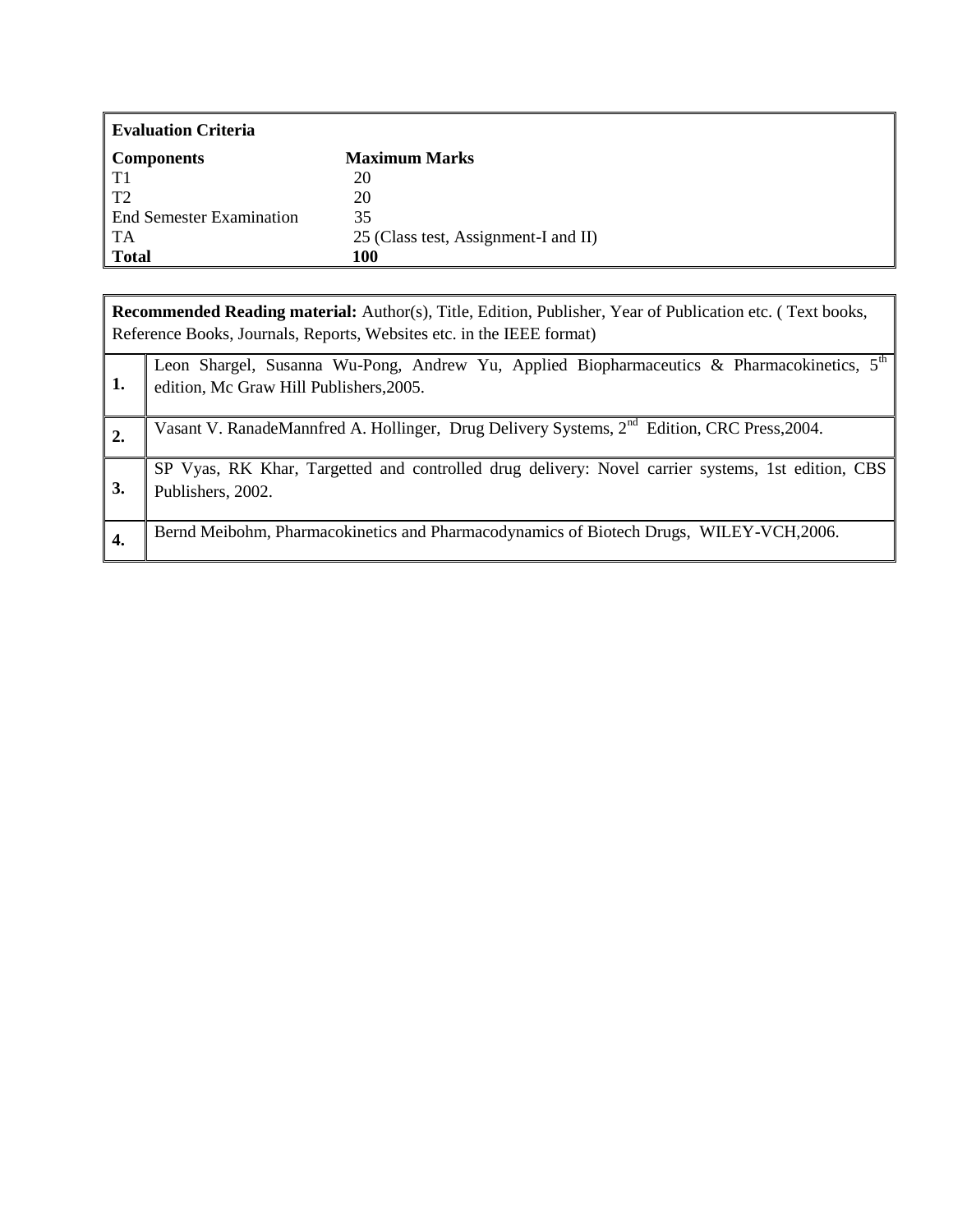| Evaluation Criteria      |                                      |
|--------------------------|--------------------------------------|
| <b>Components</b>        | <b>Maximum Marks</b>                 |
| $\vert$ T <sub>1</sub>   | 20                                   |
| $\overline{12}$          | 20                                   |
| End Semester Examination | 35                                   |
| $\overline{A}$           | 25 (Class test, Assignment-I and II) |
| Total                    | 100                                  |

**Recommended Reading material:** Author(s), Title, Edition, Publisher, Year of Publication etc. ( Text books, Reference Books, Journals, Reports, Websites etc. in the IEEE format) **1.** [Leon Shargel,](http://www.mcgraw-hill.co.uk/cgi-bin/same_author.pl?author=Leon+Shargel) [Susanna Wu-Pong,](http://www.mcgraw-hill.co.uk/cgi-bin/same_author.pl?author=Susanna+Wu-Pong) [Andrew Yu,](http://www.mcgraw-hill.co.uk/cgi-bin/same_author.pl?author=Andrew+Yu) Applied Biopharmaceutics & Pharmacokinetics, 5<sup>th</sup> edition, Mc Graw Hill Publishers,2005. 2. Vasant V. RanadeMannfred A. Hollinger, Drug Delivery Systems, 2<sup>nd</sup> Edition, CRC Press, 2004. **3.** SP Vyas, RK Khar, Targetted and controlled drug delivery: Novel carrier systems, 1st edition, CBS Publishers, 2002.

| Bernd Meibohm, Pharmacokinetics and Pharmacodynamics of Biotech Drugs, WILEY-VCH, 2006. |  |
|-----------------------------------------------------------------------------------------|--|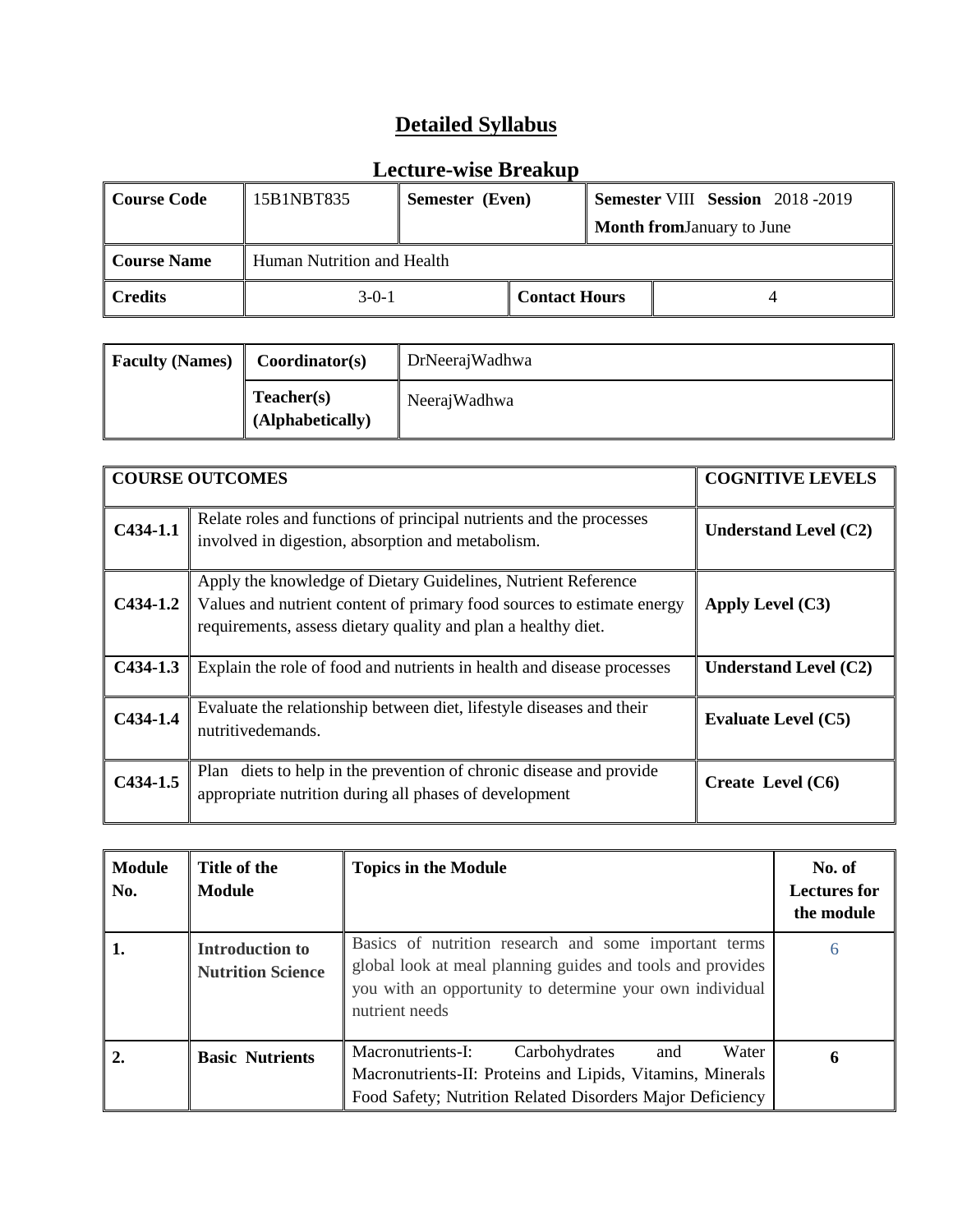| Course Code  | 15B1NBT835 | Semester (Even)            |                      |  | <b>Semester VIII Session</b> 2018-2019 |
|--------------|------------|----------------------------|----------------------|--|----------------------------------------|
|              |            |                            |                      |  | <b>Month from January to June</b>      |
| Course Name  |            | Human Nutrition and Health |                      |  |                                        |
| $\ $ Credits | $3-0-1$    |                            | <b>Contact Hours</b> |  |                                        |

| <b>Faculty (Names)</b> | Coordinator(s)                 | DrNeerajWadhwa |
|------------------------|--------------------------------|----------------|
|                        | Teacher(s)<br>(Alphabetically) | NeerajWadhwa   |

|            | <b>COURSE OUTCOMES</b>                                                                                                                                                                                   | <b>COGNITIVE LEVELS</b>      |
|------------|----------------------------------------------------------------------------------------------------------------------------------------------------------------------------------------------------------|------------------------------|
| $C434-1.1$ | Relate roles and functions of principal nutrients and the processes<br>involved in digestion, absorption and metabolism.                                                                                 | Understand Level $(C2)$      |
| $C434-1.2$ | Apply the knowledge of Dietary Guidelines, Nutrient Reference<br>Values and nutrient content of primary food sources to estimate energy<br>requirements, assess dietary quality and plan a healthy diet. | Apply Level $(C3)$           |
| $C434-1.3$ | Explain the role of food and nutrients in health and disease processes                                                                                                                                   | <b>Understand Level (C2)</b> |
| $C434-1.4$ | Evaluate the relationship between diet, lifestyle diseases and their<br>nutritivedemands.                                                                                                                | <b>Evaluate Level (C5)</b>   |
| $C434-1.5$ | diets to help in the prevention of chronic disease and provide<br>Plan<br>appropriate nutrition during all phases of development                                                                         | Create Level $(C6)$          |

| <b>Module</b><br>No. | Title of the<br><b>Module</b>                      | <b>Topics in the Module</b>                                                                                                                                                                       | No. of<br><b>Lectures for</b><br>the module |
|----------------------|----------------------------------------------------|---------------------------------------------------------------------------------------------------------------------------------------------------------------------------------------------------|---------------------------------------------|
| 1.                   | <b>Introduction to</b><br><b>Nutrition Science</b> | Basics of nutrition research and some important terms<br>global look at meal planning guides and tools and provides<br>you with an opportunity to determine your own individual<br>nutrient needs | 6                                           |
| 2.                   | <b>Basic Nutrients</b>                             | Macronutrients-I:<br>Water<br>Carbohydrates<br>and<br>Macronutrients-II: Proteins and Lipids, Vitamins, Minerals<br>Food Safety; Nutrition Related Disorders Major Deficiency                     | 6                                           |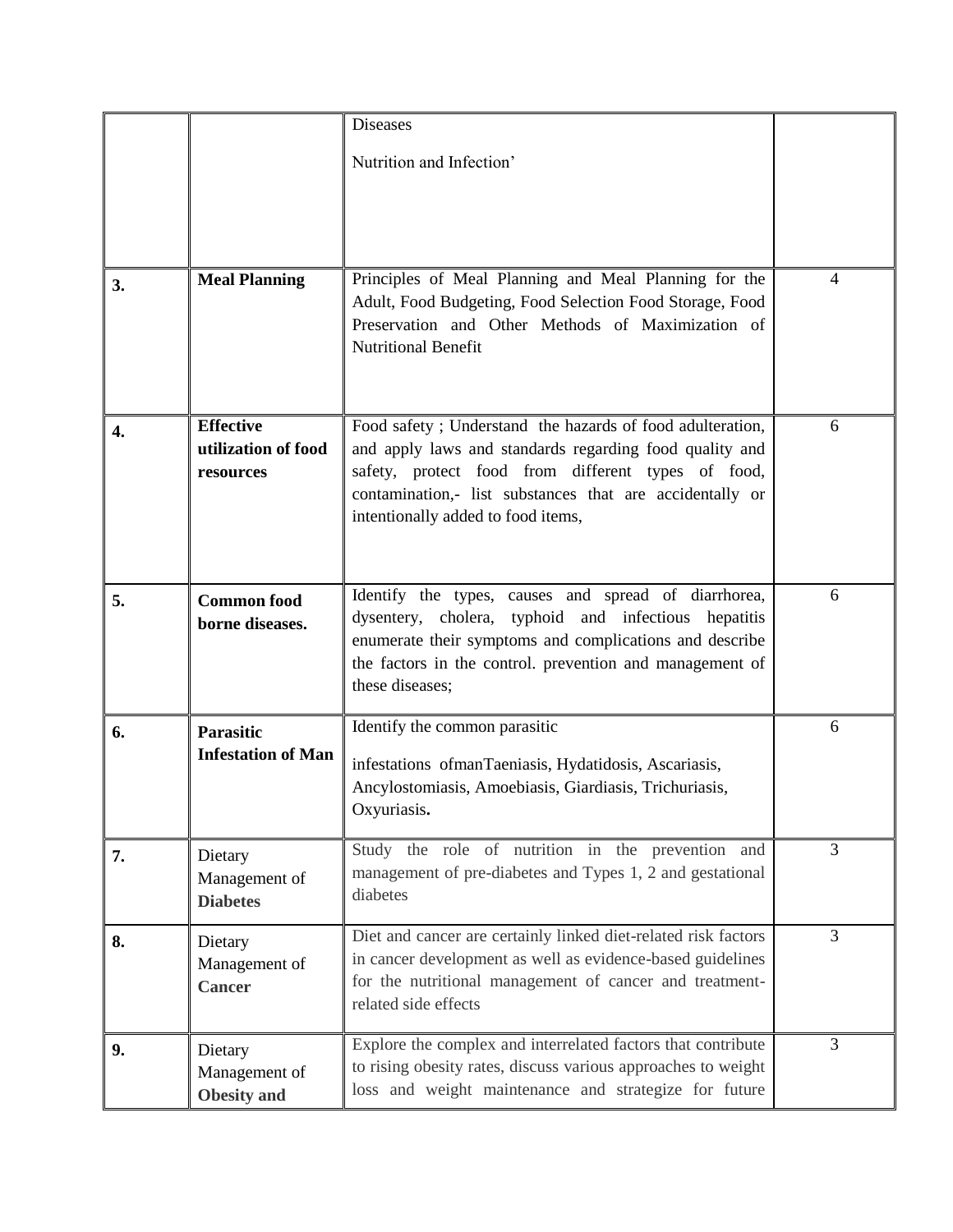|                  |                                                      | <b>Diseases</b><br>Nutrition and Infection'                                                                                                                                                                                                                                   |   |
|------------------|------------------------------------------------------|-------------------------------------------------------------------------------------------------------------------------------------------------------------------------------------------------------------------------------------------------------------------------------|---|
|                  |                                                      |                                                                                                                                                                                                                                                                               |   |
| 3.               | <b>Meal Planning</b>                                 | Principles of Meal Planning and Meal Planning for the<br>Adult, Food Budgeting, Food Selection Food Storage, Food<br>Preservation and Other Methods of Maximization of<br><b>Nutritional Benefit</b>                                                                          | 4 |
| $\overline{4}$ . | <b>Effective</b><br>utilization of food<br>resources | Food safety ; Understand the hazards of food adulteration,<br>and apply laws and standards regarding food quality and<br>safety, protect food from different types of food,<br>contamination,- list substances that are accidentally or<br>intentionally added to food items, | 6 |
| 5.               | <b>Common food</b><br>borne diseases.                | Identify the types, causes and spread of diarrhorea,<br>dysentery, cholera, typhoid and infectious hepatitis<br>enumerate their symptoms and complications and describe<br>the factors in the control. prevention and management of<br>these diseases;                        | 6 |
| 6.               | <b>Parasitic</b><br><b>Infestation of Man</b>        | Identify the common parasitic<br>infestations ofmanTaeniasis, Hydatidosis, Ascariasis,<br>Ancylostomiasis, Amoebiasis, Giardiasis, Trichuriasis,<br>Oxyuriasis.                                                                                                               | 6 |
| 7.               | Dietary<br>Management of<br><b>Diabetes</b>          | Study the role of nutrition in the prevention and<br>management of pre-diabetes and Types 1, 2 and gestational<br>diabetes                                                                                                                                                    | 3 |
| 8.               | Dietary<br>Management of<br><b>Cancer</b>            | Diet and cancer are certainly linked diet-related risk factors<br>in cancer development as well as evidence-based guidelines<br>for the nutritional management of cancer and treatment-<br>related side effects                                                               | 3 |
| 9.               | Dietary<br>Management of<br><b>Obesity</b> and       | Explore the complex and interrelated factors that contribute<br>to rising obesity rates, discuss various approaches to weight<br>loss and weight maintenance and strategize for future                                                                                        | 3 |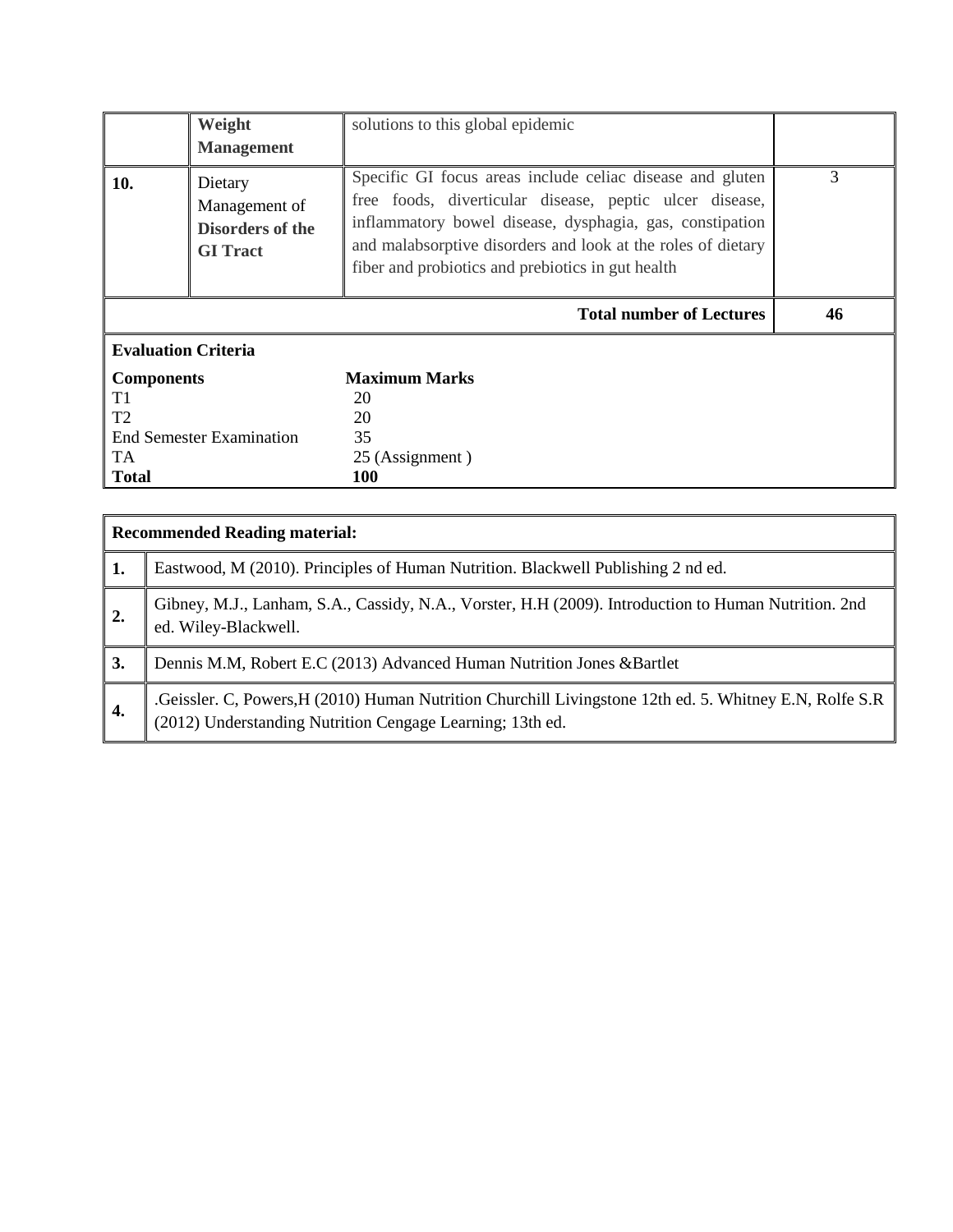|                                                                  | Weight<br><b>Management</b>                                            | solutions to this global epidemic                                                                                                                                                                                                                                                                     |    |
|------------------------------------------------------------------|------------------------------------------------------------------------|-------------------------------------------------------------------------------------------------------------------------------------------------------------------------------------------------------------------------------------------------------------------------------------------------------|----|
| 10.                                                              | Dietary<br>Management of<br><b>Disorders of the</b><br><b>GI</b> Tract | Specific GI focus areas include celiac disease and gluten<br>free foods, diverticular disease, peptic ulcer disease,<br>inflammatory bowel disease, dysphagia, gas, constipation<br>and malabsorptive disorders and look at the roles of dietary<br>fiber and probiotics and prebiotics in gut health | 3  |
|                                                                  |                                                                        | <b>Total number of Lectures</b>                                                                                                                                                                                                                                                                       | 46 |
| <b>Evaluation Criteria</b>                                       |                                                                        |                                                                                                                                                                                                                                                                                                       |    |
| <b>Components</b><br>T1<br>T <sub>2</sub><br>TA.<br><b>Total</b> | <b>End Semester Examination</b>                                        | <b>Maximum Marks</b><br>20<br>20<br>35<br>25 (Assignment)<br>100                                                                                                                                                                                                                                      |    |

|                  | <b>Recommended Reading material:</b>                                                                                                                                 |
|------------------|----------------------------------------------------------------------------------------------------------------------------------------------------------------------|
| 1.               | Eastwood, M (2010). Principles of Human Nutrition. Blackwell Publishing 2 nd ed.                                                                                     |
| $\overline{2}$ . | Gibney, M.J., Lanham, S.A., Cassidy, N.A., Vorster, H.H (2009). Introduction to Human Nutrition. 2nd<br>ed. Wiley-Blackwell.                                         |
| 3.               | Dennis M.M, Robert E.C (2013) Advanced Human Nutrition Jones &Bartlet                                                                                                |
| $\overline{4}$ . | Geissler. C, Powers, H (2010) Human Nutrition Churchill Livingstone 12th ed. 5. Whitney E.N, Rolfe S.R.<br>(2012) Understanding Nutrition Cengage Learning; 13th ed. |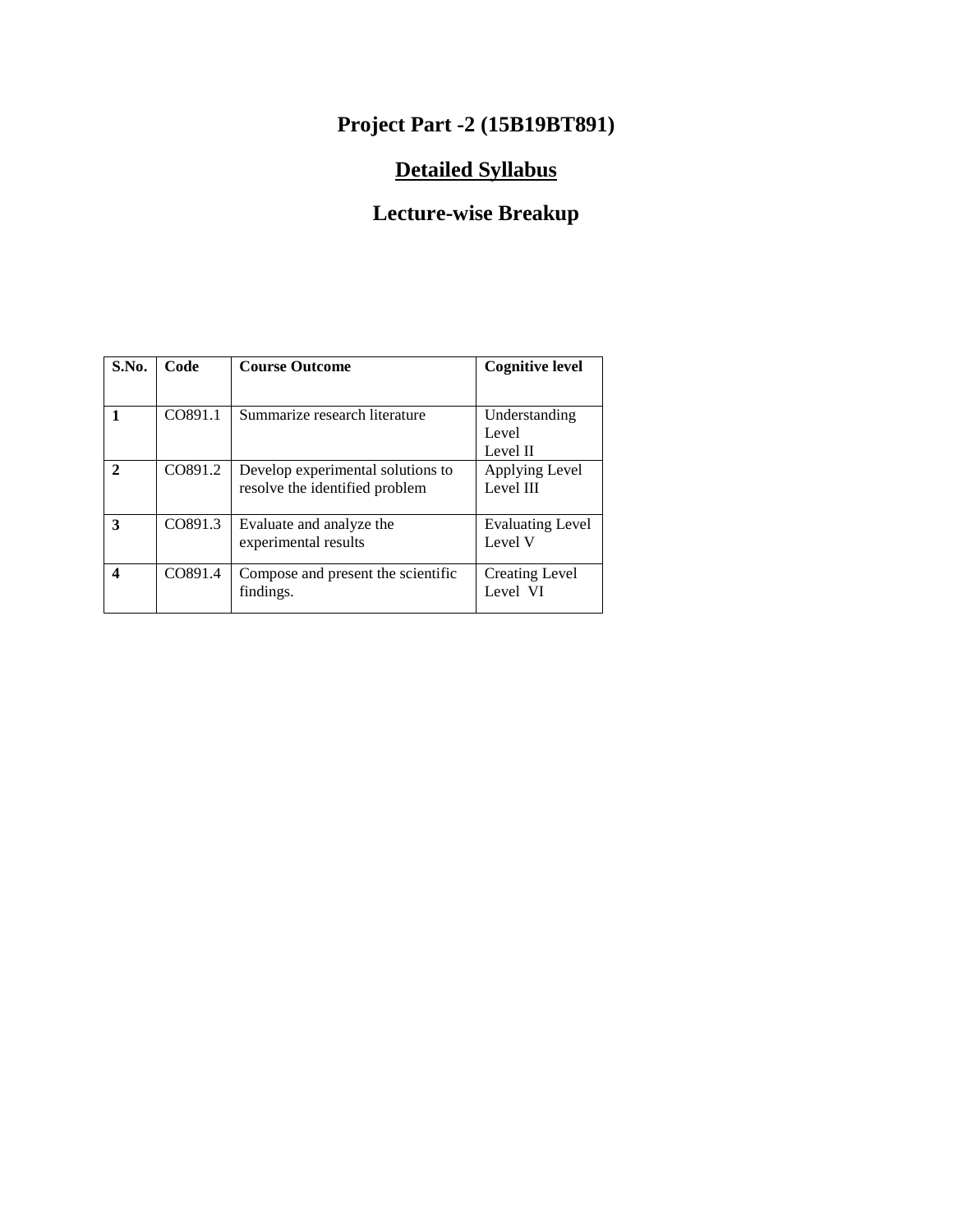### **Project Part -2 (15B19BT891)**

#### **Detailed Syllabus**

| S.No.                       | Code    | <b>Course Outcome</b>                                               | <b>Cognitive level</b>             |
|-----------------------------|---------|---------------------------------------------------------------------|------------------------------------|
|                             | CO891.1 | Summarize research literature                                       | Understanding<br>Level<br>Level II |
| $\mathcal{D}_{\mathcal{L}}$ | CO891.2 | Develop experimental solutions to<br>resolve the identified problem | Applying Level<br>Level III        |
| 3                           | CO891.3 | Evaluate and analyze the<br>experimental results                    | <b>Evaluating Level</b><br>Level V |
| 4                           | CO891.4 | Compose and present the scientific<br>findings.                     | Creating Level<br>Level VI         |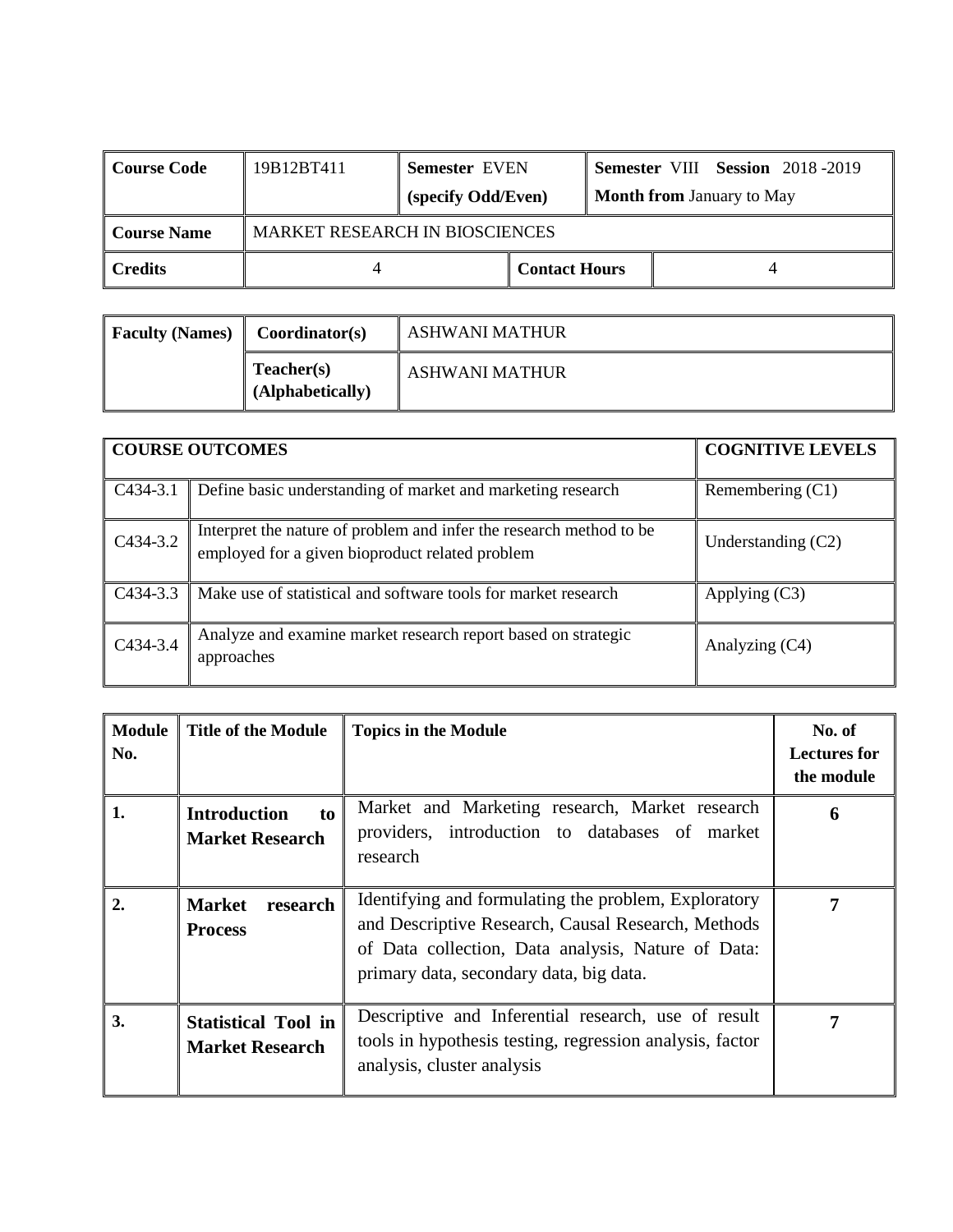| Course Code            | 19B12BT411 | <b>Semester EVEN</b>                  |                      |                                  |  | <b>Semester VIII Session 2018-2019</b> |
|------------------------|------------|---------------------------------------|----------------------|----------------------------------|--|----------------------------------------|
|                        |            | (specify Odd/Even)                    |                      | <b>Month from January to May</b> |  |                                        |
| Course Name            |            | <b>MARKET RESEARCH IN BIOSCIENCES</b> |                      |                                  |  |                                        |
| $\blacksquare$ Credits |            |                                       | <b>Contact Hours</b> |                                  |  |                                        |

| <b>Faculty (Names)</b> | <b>Coordinator(s)</b>          | ASHWANI MATHUR        |
|------------------------|--------------------------------|-----------------------|
|                        | Teacher(s)<br>(Alphabetically) | <b>ASHWANI MATHUR</b> |

|            | <b>COURSE OUTCOMES</b>                                                                                                 | <b>COGNITIVE LEVELS</b> |
|------------|------------------------------------------------------------------------------------------------------------------------|-------------------------|
| C434-3.1   | Define basic understanding of market and marketing research                                                            | Remembering $(C1)$      |
| C434-3.2   | Interpret the nature of problem and infer the research method to be<br>employed for a given bioproduct related problem | Understanding $(C2)$    |
| $C434-3.3$ | Make use of statistical and software tools for market research                                                         | Applying $(C3)$         |
| C434-3.4   | Analyze and examine market research report based on strategic<br>approaches                                            | Analyzing (C4)          |

| <b>Module</b><br>No. | <b>Title of the Module</b>                           | <b>Topics in the Module</b>                                                                                                                                                                                 | No. of<br><b>Lectures for</b><br>the module |
|----------------------|------------------------------------------------------|-------------------------------------------------------------------------------------------------------------------------------------------------------------------------------------------------------------|---------------------------------------------|
| 1.                   | <b>Introduction</b><br>to<br><b>Market Research</b>  | Market and Marketing research, Market research<br>providers, introduction to databases of market<br>research                                                                                                | h                                           |
| $\overline{2}$ .     | <b>Market</b><br>research<br><b>Process</b>          | Identifying and formulating the problem, Exploratory<br>and Descriptive Research, Causal Research, Methods<br>of Data collection, Data analysis, Nature of Data:<br>primary data, secondary data, big data. |                                             |
| 3.                   | <b>Statistical Tool in</b><br><b>Market Research</b> | Descriptive and Inferential research, use of result<br>tools in hypothesis testing, regression analysis, factor<br>analysis, cluster analysis                                                               |                                             |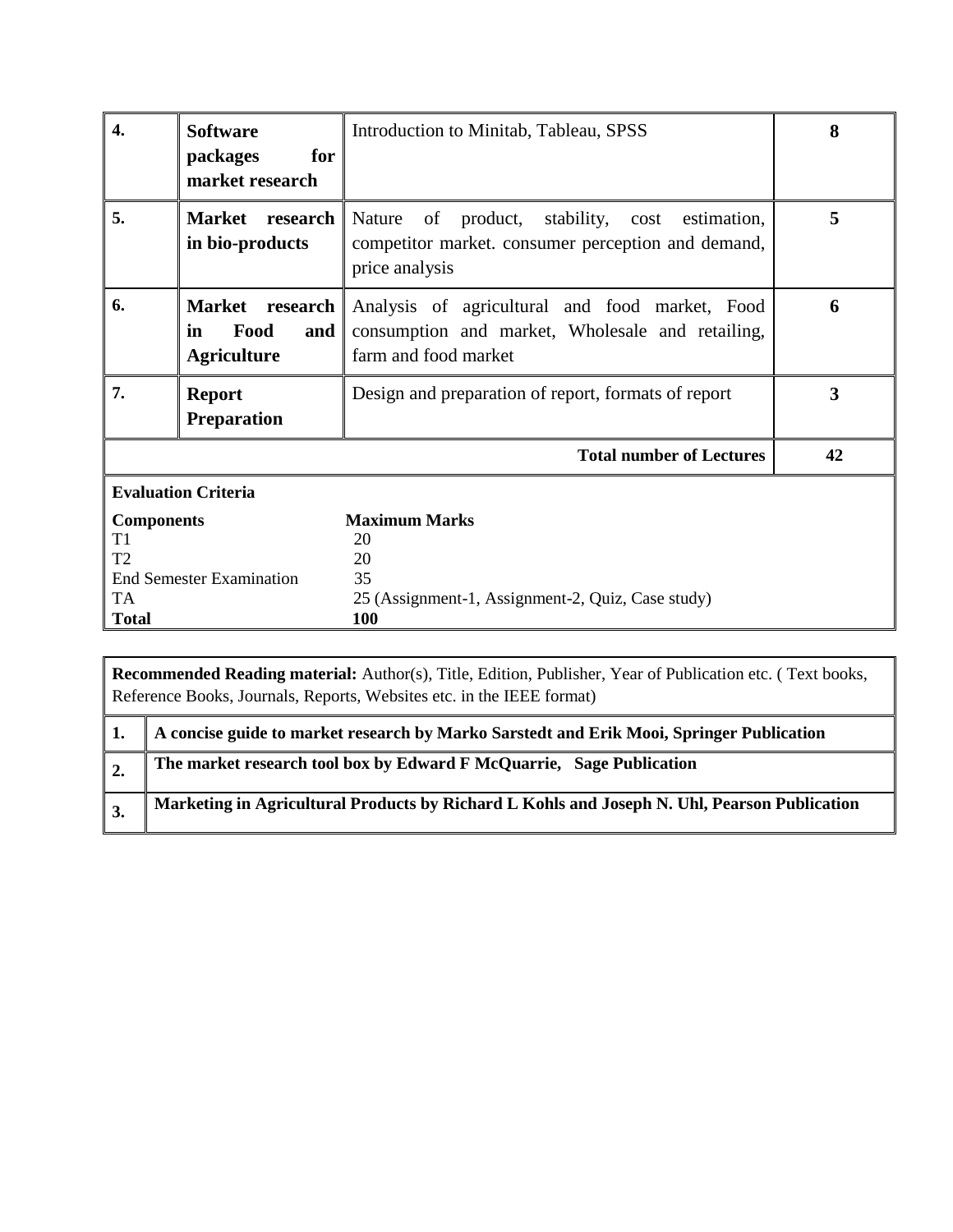| $\overline{4}$ .                                     | <b>Software</b><br>packages<br>for<br>market research      | Introduction to Minitab, Tableau, SPSS                                                                                             | 8  |
|------------------------------------------------------|------------------------------------------------------------|------------------------------------------------------------------------------------------------------------------------------------|----|
| 5.                                                   | Market research<br>in bio-products                         | product,<br>stability, cost<br>Nature<br>of<br>estimation,<br>competitor market. consumer perception and demand,<br>price analysis | 5  |
| 6.                                                   | Market research<br>Food<br>in<br>and<br><b>Agriculture</b> | Analysis of agricultural and food market, Food<br>consumption and market, Wholesale and retailing,<br>farm and food market         | 6  |
| 7.<br><b>Report</b><br><b>Preparation</b>            |                                                            | Design and preparation of report, formats of report                                                                                | 3  |
|                                                      |                                                            | <b>Total number of Lectures</b>                                                                                                    | 42 |
|                                                      | <b>Evaluation Criteria</b>                                 |                                                                                                                                    |    |
| <b>Components</b><br>T1<br>T2<br>TA.<br><b>Total</b> | <b>End Semester Examination</b>                            | <b>Maximum Marks</b><br>20<br>20<br>35<br>25 (Assignment-1, Assignment-2, Quiz, Case study)<br><b>100</b>                          |    |

| A concise guide to market research by Marko Sarstedt and Erik Mooi, Springer Publication     |
|----------------------------------------------------------------------------------------------|
| The market research tool box by Edward F McQuarrie, Sage Publication                         |
| Marketing in Agricultural Products by Richard L Kohls and Joseph N. Uhl, Pearson Publication |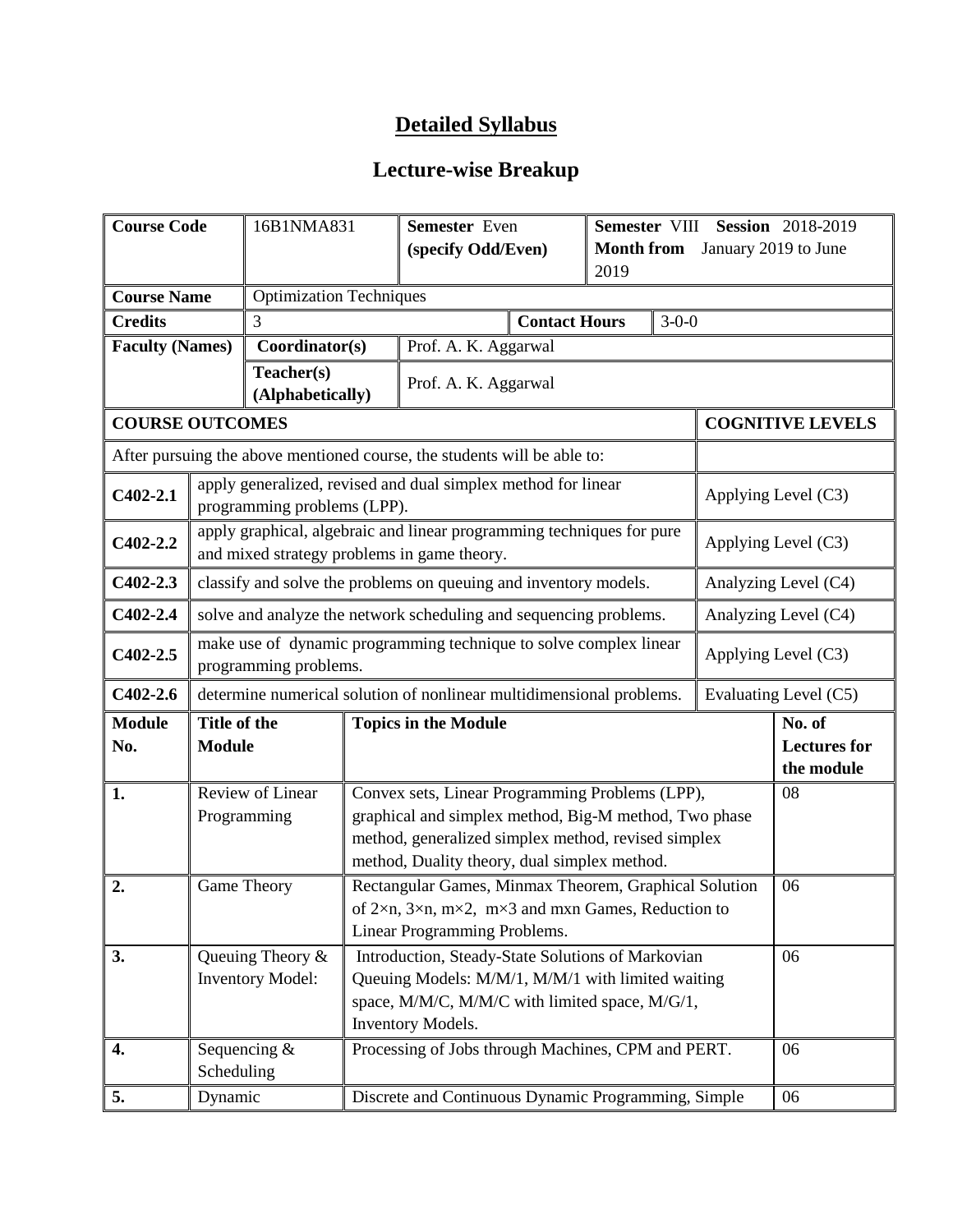| <b>Course Code</b>     |                                                                                                                                                                                                                                     | 16B1NMA831                      |                                                                                                                                                                                                                       | Semester Even                                                                                                        |                      | Semester VIII Session 2018-2019 |                     |  |                                             |
|------------------------|-------------------------------------------------------------------------------------------------------------------------------------------------------------------------------------------------------------------------------------|---------------------------------|-----------------------------------------------------------------------------------------------------------------------------------------------------------------------------------------------------------------------|----------------------------------------------------------------------------------------------------------------------|----------------------|---------------------------------|---------------------|--|---------------------------------------------|
|                        |                                                                                                                                                                                                                                     |                                 |                                                                                                                                                                                                                       | (specify Odd/Even)                                                                                                   |                      | <b>Month from</b><br>2019       |                     |  | January 2019 to June                        |
| <b>Course Name</b>     |                                                                                                                                                                                                                                     | <b>Optimization Techniques</b>  |                                                                                                                                                                                                                       |                                                                                                                      |                      |                                 |                     |  |                                             |
| <b>Credits</b>         |                                                                                                                                                                                                                                     | 3                               |                                                                                                                                                                                                                       |                                                                                                                      | <b>Contact Hours</b> |                                 | $3 - 0 - 0$         |  |                                             |
| <b>Faculty (Names)</b> |                                                                                                                                                                                                                                     | Coordinator(s)                  |                                                                                                                                                                                                                       | Prof. A. K. Aggarwal                                                                                                 |                      |                                 |                     |  |                                             |
|                        |                                                                                                                                                                                                                                     | Teacher(s)<br>(Alphabetically)  |                                                                                                                                                                                                                       | Prof. A. K. Aggarwal                                                                                                 |                      |                                 |                     |  |                                             |
| <b>COURSE OUTCOMES</b> |                                                                                                                                                                                                                                     |                                 |                                                                                                                                                                                                                       |                                                                                                                      |                      |                                 |                     |  | <b>COGNITIVE LEVELS</b>                     |
|                        |                                                                                                                                                                                                                                     |                                 |                                                                                                                                                                                                                       | After pursuing the above mentioned course, the students will be able to:                                             |                      |                                 |                     |  |                                             |
| $C402 - 2.1$           |                                                                                                                                                                                                                                     | programming problems (LPP).     |                                                                                                                                                                                                                       | apply generalized, revised and dual simplex method for linear                                                        |                      |                                 |                     |  | Applying Level (C3)                         |
| $C402 - 2.2$           |                                                                                                                                                                                                                                     |                                 |                                                                                                                                                                                                                       | apply graphical, algebraic and linear programming techniques for pure<br>and mixed strategy problems in game theory. |                      |                                 |                     |  | Applying Level (C3)                         |
| $C402 - 2.3$           |                                                                                                                                                                                                                                     |                                 |                                                                                                                                                                                                                       | classify and solve the problems on queuing and inventory models.                                                     |                      |                                 |                     |  | Analyzing Level (C4)                        |
| $C402 - 2.4$           | solve and analyze the network scheduling and sequencing problems.<br>Analyzing Level (C4)                                                                                                                                           |                                 |                                                                                                                                                                                                                       |                                                                                                                      |                      |                                 |                     |  |                                             |
| $C402 - 2.5$           | make use of dynamic programming technique to solve complex linear<br>programming problems.                                                                                                                                          |                                 |                                                                                                                                                                                                                       |                                                                                                                      |                      |                                 | Applying Level (C3) |  |                                             |
| $C402-2.6$             |                                                                                                                                                                                                                                     |                                 |                                                                                                                                                                                                                       | determine numerical solution of nonlinear multidimensional problems.                                                 |                      |                                 |                     |  | Evaluating Level (C5)                       |
| <b>Module</b><br>No.   | Title of the<br><b>Module</b>                                                                                                                                                                                                       |                                 |                                                                                                                                                                                                                       | <b>Topics in the Module</b>                                                                                          |                      |                                 |                     |  | No. of<br><b>Lectures for</b><br>the module |
| 1.                     |                                                                                                                                                                                                                                     | Review of Linear<br>Programming | Convex sets, Linear Programming Problems (LPP),<br>08<br>graphical and simplex method, Big-M method, Two phase<br>method, generalized simplex method, revised simplex<br>method, Duality theory, dual simplex method. |                                                                                                                      |                      |                                 |                     |  |                                             |
| 2.                     |                                                                                                                                                                                                                                     | Game Theory                     | Rectangular Games, Minmax Theorem, Graphical Solution<br>06<br>of $2\times n$ , $3\times n$ , $m\times 2$ , $m\times 3$ and $m\times n$ Games, Reduction to<br>Linear Programming Problems.                           |                                                                                                                      |                      |                                 |                     |  |                                             |
| 3.                     | Queuing Theory &<br>Introduction, Steady-State Solutions of Markovian<br><b>Inventory Model:</b><br>Queuing Models: M/M/1, M/M/1 with limited waiting<br>space, M/M/C, M/M/C with limited space, M/G/1,<br><b>Inventory Models.</b> |                                 |                                                                                                                                                                                                                       |                                                                                                                      |                      |                                 | 06                  |  |                                             |
| 4.                     | Scheduling                                                                                                                                                                                                                          | Sequencing $&$                  |                                                                                                                                                                                                                       | Processing of Jobs through Machines, CPM and PERT.                                                                   |                      |                                 |                     |  | 06                                          |
| 5.                     | Dynamic                                                                                                                                                                                                                             |                                 | Discrete and Continuous Dynamic Programming, Simple<br>06                                                                                                                                                             |                                                                                                                      |                      |                                 |                     |  |                                             |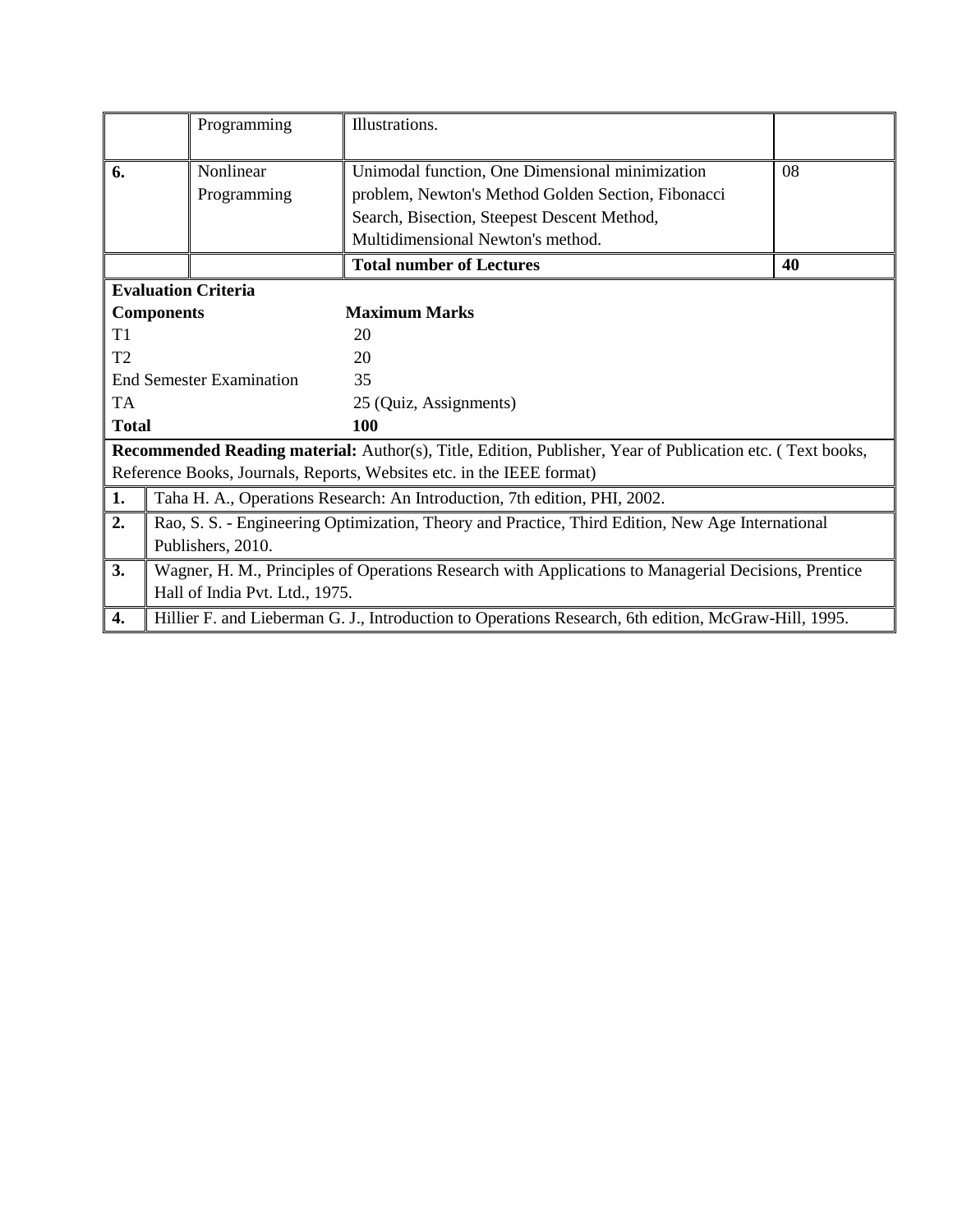|                | Programming<br>Illustrations.                                                                                    |                                                                                                       |    |  |  |  |
|----------------|------------------------------------------------------------------------------------------------------------------|-------------------------------------------------------------------------------------------------------|----|--|--|--|
| 6.             | Nonlinear<br>Programming                                                                                         | Unimodal function, One Dimensional minimization<br>problem, Newton's Method Golden Section, Fibonacci | 08 |  |  |  |
|                |                                                                                                                  | Search, Bisection, Steepest Descent Method,                                                           |    |  |  |  |
|                | Multidimensional Newton's method.                                                                                |                                                                                                       |    |  |  |  |
|                |                                                                                                                  | <b>Total number of Lectures</b>                                                                       | 40 |  |  |  |
|                | <b>Evaluation Criteria</b>                                                                                       |                                                                                                       |    |  |  |  |
|                | <b>Components</b>                                                                                                | <b>Maximum Marks</b>                                                                                  |    |  |  |  |
| T1             | 20                                                                                                               |                                                                                                       |    |  |  |  |
| T <sub>2</sub> | 20                                                                                                               |                                                                                                       |    |  |  |  |
|                | <b>End Semester Examination</b><br>35                                                                            |                                                                                                       |    |  |  |  |
| <b>TA</b>      | 25 (Quiz, Assignments)                                                                                           |                                                                                                       |    |  |  |  |
|                | <b>Total</b><br>100                                                                                              |                                                                                                       |    |  |  |  |
|                | <b>Recommended Reading material:</b> Author(s), Title, Edition, Publisher, Year of Publication etc. (Text books, |                                                                                                       |    |  |  |  |
|                |                                                                                                                  | Reference Books, Journals, Reports, Websites etc. in the IEEE format)                                 |    |  |  |  |
| 1.             | Taha H. A., Operations Research: An Introduction, 7th edition, PHI, 2002.                                        |                                                                                                       |    |  |  |  |
| 2.             | Rao, S. S. - Engineering Optimization, Theory and Practice, Third Edition, New Age International                 |                                                                                                       |    |  |  |  |
|                | Publishers, 2010.                                                                                                |                                                                                                       |    |  |  |  |
| 3.             | Wagner, H. M., Principles of Operations Research with Applications to Managerial Decisions, Prentice             |                                                                                                       |    |  |  |  |
|                | Hall of India Pvt. Ltd., 1975.                                                                                   |                                                                                                       |    |  |  |  |
| 4.             |                                                                                                                  | Hillier F. and Lieberman G. J., Introduction to Operations Research, 6th edition, McGraw-Hill, 1995.  |    |  |  |  |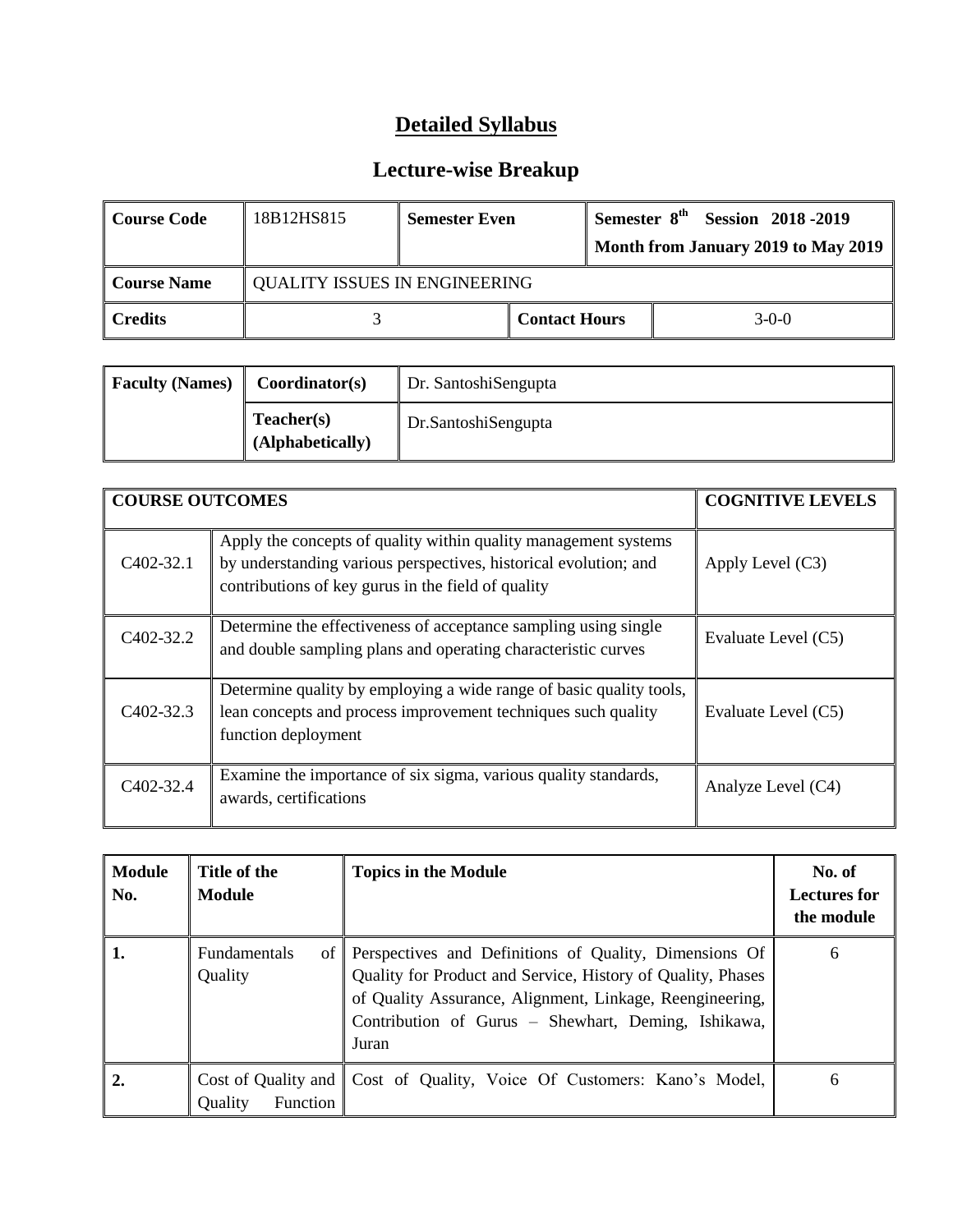| Course Code         | 18B12HS815                           | <b>Semester Even</b> |                                 | Semester 8 <sup>th</sup> | <b>Session 2018-2019</b><br>Month from January 2019 to May 2019 |
|---------------------|--------------------------------------|----------------------|---------------------------------|--------------------------|-----------------------------------------------------------------|
| <b>Course Name</b>  | <b>QUALITY ISSUES IN ENGINEERING</b> |                      |                                 |                          |                                                                 |
| $\parallel$ Credits |                                      |                      | <b>Contact Hours</b><br>$3-0-0$ |                          |                                                                 |

| <b>Faculty (Names)</b> | Coordinator(s)                 | Dr. SantoshiSengupta |
|------------------------|--------------------------------|----------------------|
|                        | Teacher(s)<br>(Alphabetically) | Dr.SantoshiSengupta  |

| <b>COURSE OUTCOMES</b> |                                                                                                                                                                                           | <b>COGNITIVE LEVELS</b> |
|------------------------|-------------------------------------------------------------------------------------------------------------------------------------------------------------------------------------------|-------------------------|
| C <sub>4</sub> 02-32.1 | Apply the concepts of quality within quality management systems<br>by understanding various perspectives, historical evolution; and<br>contributions of key gurus in the field of quality | Apply Level $(C3)$      |
| C <sub>4</sub> 02-32.2 | Determine the effectiveness of acceptance sampling using single<br>and double sampling plans and operating characteristic curves                                                          | Evaluate Level (C5)     |
| C <sub>4</sub> 02-32.3 | Determine quality by employing a wide range of basic quality tools,<br>lean concepts and process improvement techniques such quality<br>function deployment                               | Evaluate Level (C5)     |
| C402-32.4              | Examine the importance of six sigma, various quality standards,<br>awards, certifications                                                                                                 | Analyze Level (C4)      |

| <b>Module</b><br>No. | Title of the<br><b>Module</b>              | <b>Topics in the Module</b>                                                                                                                                                                                                                       | No. of<br><b>Lectures for</b><br>the module |
|----------------------|--------------------------------------------|---------------------------------------------------------------------------------------------------------------------------------------------------------------------------------------------------------------------------------------------------|---------------------------------------------|
| 1.                   | <b>Fundamentals</b><br>οf<br>Quality       | Perspectives and Definitions of Quality, Dimensions Of<br>Quality for Product and Service, History of Quality, Phases<br>of Quality Assurance, Alignment, Linkage, Reengineering,<br>Contribution of Gurus – Shewhart, Deming, Ishikawa,<br>Juran | 6                                           |
| 2.                   | Cost of Quality and<br>Function<br>Quality | Cost of Quality, Voice Of Customers: Kano's Model,                                                                                                                                                                                                | 6                                           |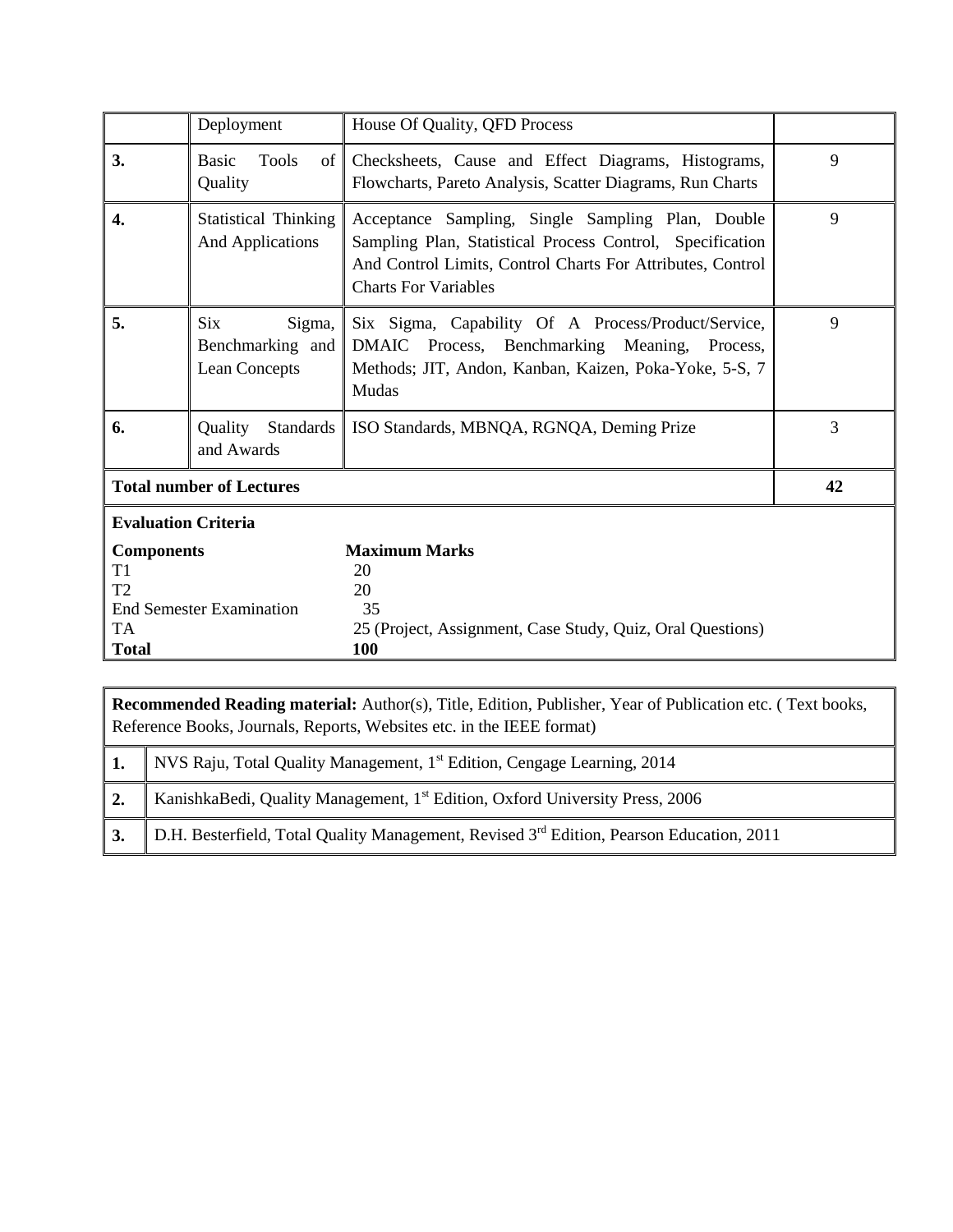|                                 | Deployment                                                                                                                                                                                                                                                            | House Of Quality, QFD Process                                                                                                                                           |    |  |
|---------------------------------|-----------------------------------------------------------------------------------------------------------------------------------------------------------------------------------------------------------------------------------------------------------------------|-------------------------------------------------------------------------------------------------------------------------------------------------------------------------|----|--|
| 3.                              | <b>Basic</b><br><b>Tools</b><br>Quality                                                                                                                                                                                                                               | of Checksheets, Cause and Effect Diagrams, Histograms,<br>Flowcharts, Pareto Analysis, Scatter Diagrams, Run Charts                                                     | 9  |  |
| $\overline{4}$ .                | <b>Statistical Thinking</b><br>Acceptance Sampling, Single Sampling Plan, Double<br><b>And Applications</b><br>Sampling Plan, Statistical Process Control, Specification<br>And Control Limits, Control Charts For Attributes, Control<br><b>Charts For Variables</b> |                                                                                                                                                                         |    |  |
| 5.                              | <b>Six</b><br>Sigma,<br>Benchmarking and<br>Lean Concepts                                                                                                                                                                                                             | Six Sigma, Capability Of A Process/Product/Service,<br>DMAIC Process, Benchmarking Meaning, Process,<br>Methods; JIT, Andon, Kanban, Kaizen, Poka-Yoke, 5-S, 7<br>Mudas | 9  |  |
| 6.                              | Quality<br><b>Standards</b><br>and Awards                                                                                                                                                                                                                             | ISO Standards, MBNQA, RGNQA, Deming Prize                                                                                                                               | 3  |  |
|                                 | <b>Total number of Lectures</b>                                                                                                                                                                                                                                       |                                                                                                                                                                         | 42 |  |
| <b>Evaluation Criteria</b>      |                                                                                                                                                                                                                                                                       |                                                                                                                                                                         |    |  |
| <b>Components</b>               |                                                                                                                                                                                                                                                                       | <b>Maximum Marks</b>                                                                                                                                                    |    |  |
| T <sub>1</sub>                  |                                                                                                                                                                                                                                                                       | 20                                                                                                                                                                      |    |  |
| T <sub>2</sub>                  |                                                                                                                                                                                                                                                                       | 20                                                                                                                                                                      |    |  |
| <b>End Semester Examination</b> |                                                                                                                                                                                                                                                                       | 35                                                                                                                                                                      |    |  |
| TA                              |                                                                                                                                                                                                                                                                       | 25 (Project, Assignment, Case Study, Quiz, Oral Questions)                                                                                                              |    |  |
| <b>Total</b>                    |                                                                                                                                                                                                                                                                       | 100                                                                                                                                                                     |    |  |

|    | Recommended Reading material: Author(s), Title, Edition, Publisher, Year of Publication etc. (Text books,<br>Reference Books, Journals, Reports, Websites etc. in the IEEE format) |  |  |  |
|----|------------------------------------------------------------------------------------------------------------------------------------------------------------------------------------|--|--|--|
|    | NVS Raju, Total Quality Management, 1 <sup>st</sup> Edition, Cengage Learning, 2014                                                                                                |  |  |  |
| 2. | KanishkaBedi, Quality Management, 1 <sup>st</sup> Edition, Oxford University Press, 2006                                                                                           |  |  |  |
| 3. | D.H. Besterfield, Total Quality Management, Revised $3rd$ Edition, Pearson Education, 2011                                                                                         |  |  |  |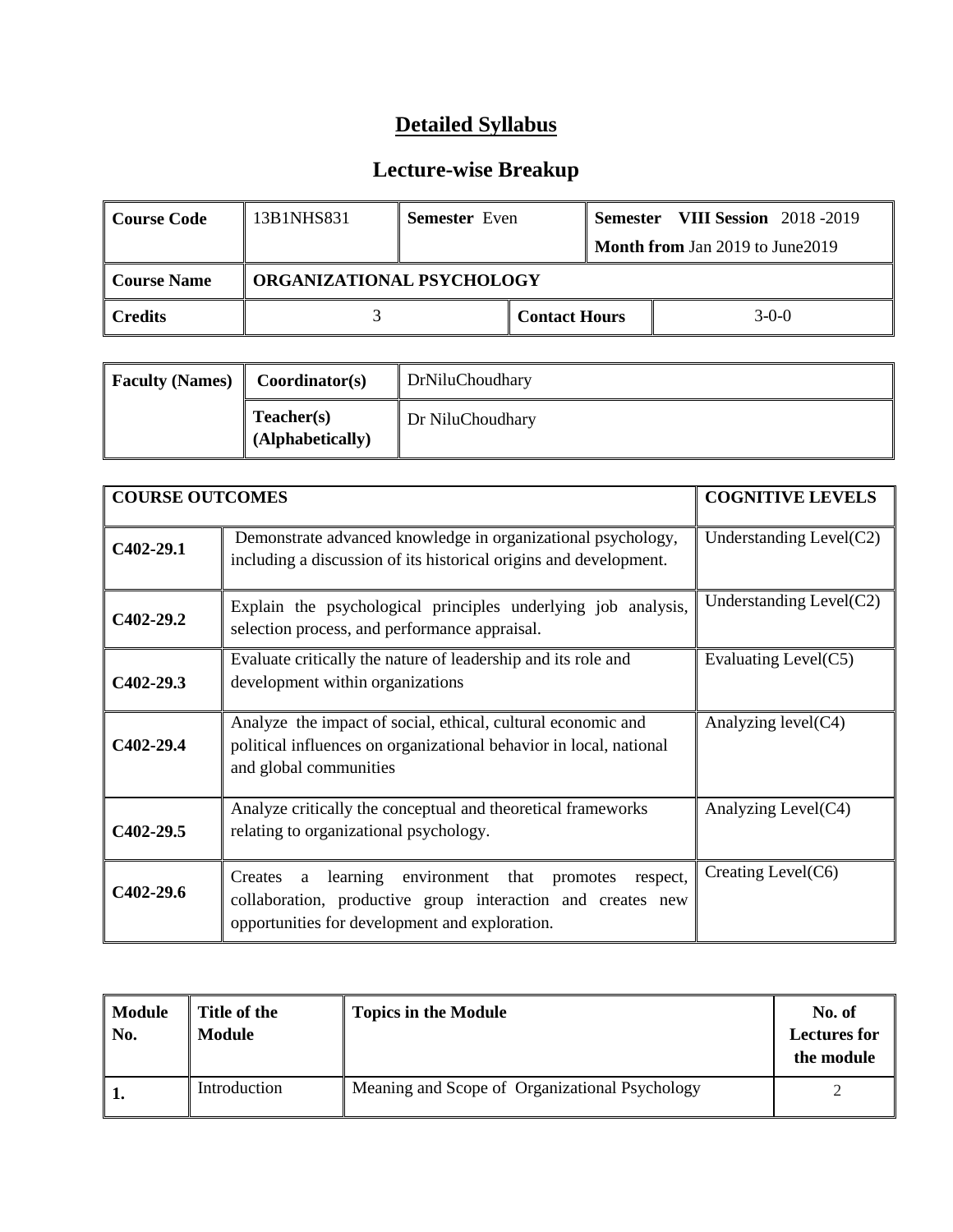| Course Code | 13B1NHS831                       | <b>Semester</b> Even |                      | <b>Semester</b>                  | <b>VIII Session</b> 2018 -2019 |  |
|-------------|----------------------------------|----------------------|----------------------|----------------------------------|--------------------------------|--|
|             |                                  |                      |                      | Month from Jan 2019 to June 2019 |                                |  |
| Course Name | <b>ORGANIZATIONAL PSYCHOLOGY</b> |                      |                      |                                  |                                |  |
| l Credits   |                                  |                      | <b>Contact Hours</b> |                                  | $3-0-0$                        |  |

| <b>Faculty (Names)</b> | Coordinator(s)                 | DrNiluChoudhary  |
|------------------------|--------------------------------|------------------|
|                        | Teacher(s)<br>(Alphabetically) | Dr NiluChoudhary |

|             | <b>COURSE OUTCOMES</b>                                                                                                                                       |                            |  |
|-------------|--------------------------------------------------------------------------------------------------------------------------------------------------------------|----------------------------|--|
| $C402-29.1$ | Demonstrate advanced knowledge in organizational psychology,<br>including a discussion of its historical origins and development.                            | Understanding $Level(C2)$  |  |
| $C402-29.2$ | Explain the psychological principles underlying job analysis,<br>selection process, and performance appraisal.                                               | Understanding Level $(C2)$ |  |
| $C402-29.3$ | Evaluate critically the nature of leadership and its role and<br>development within organizations                                                            | Evaluating Level(C5)       |  |
| C402-29.4   | Analyze the impact of social, ethical, cultural economic and<br>political influences on organizational behavior in local, national<br>and global communities |                            |  |
| $C402-29.5$ | Analyze critically the conceptual and theoretical frameworks<br>relating to organizational psychology.                                                       | Analyzing Level(C4)        |  |
| $C402-29.6$ | Creating Level $(C6)$                                                                                                                                        |                            |  |

| Module<br>No. | Title of the<br><b>Module</b> | <b>Topics in the Module</b>                    | No. of<br><b>Lectures for</b><br>the module |
|---------------|-------------------------------|------------------------------------------------|---------------------------------------------|
|               | Introduction                  | Meaning and Scope of Organizational Psychology |                                             |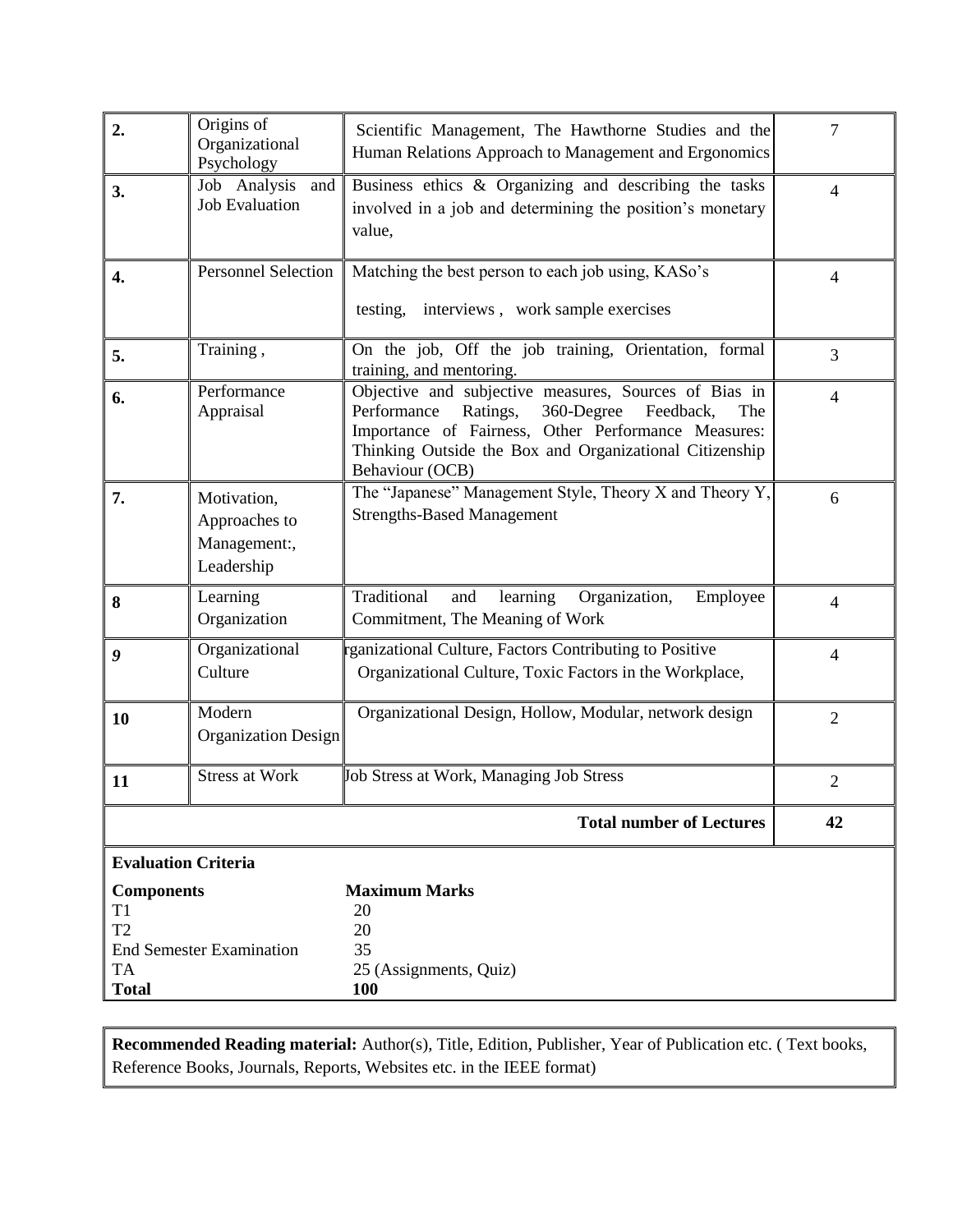| Origins of<br>$\overline{2}$ .<br>Scientific Management, The Hawthorne Studies and the<br>Organizational<br>Human Relations Approach to Management and Ergonomics<br>Psychology                                                                         | $\overline{7}$                                        |  |
|---------------------------------------------------------------------------------------------------------------------------------------------------------------------------------------------------------------------------------------------------------|-------------------------------------------------------|--|
| Business ethics & Organizing and describing the tasks<br>Job Analysis and<br>3.<br><b>Job Evaluation</b><br>involved in a job and determining the position's monetary<br>value,                                                                         | $\overline{4}$                                        |  |
| <b>Personnel Selection</b><br>Matching the best person to each job using, KASo's<br>$\overline{4}$ .<br>testing, interviews, work sample exercises                                                                                                      | $\overline{4}$                                        |  |
| On the job, Off the job training, Orientation, formal<br>Training,<br>5.<br>training, and mentoring.                                                                                                                                                    | 3                                                     |  |
| Objective and subjective measures, Sources of Bias in<br>Performance<br>6.<br>Performance<br>Ratings,<br>Appraisal<br>Importance of Fairness, Other Performance Measures:<br>Thinking Outside the Box and Organizational Citizenship<br>Behaviour (OCB) | $\overline{4}$<br>360-Degree Feedback,<br>The         |  |
| The "Japanese" Management Style, Theory X and Theory Y,<br>7.<br>Motivation,<br><b>Strengths-Based Management</b><br>Approaches to<br>Management:,<br>Leadership                                                                                        | 6                                                     |  |
| Learning<br>Traditional<br>learning<br>and<br>$\bf{8}$<br>Organization<br>Commitment, The Meaning of Work                                                                                                                                               | Organization,<br>Employee<br>$\overline{\mathcal{A}}$ |  |
| Organizational<br>rganizational Culture, Factors Contributing to Positive<br>$\boldsymbol{g}$<br>Organizational Culture, Toxic Factors in the Workplace,<br>Culture                                                                                     | $\overline{4}$                                        |  |
| Modern<br>Organizational Design, Hollow, Modular, network design<br>10<br><b>Organization Design</b>                                                                                                                                                    | $\overline{2}$                                        |  |
| <b>Stress at Work</b><br>Job Stress at Work, Managing Job Stress<br>11                                                                                                                                                                                  | $\overline{2}$                                        |  |
|                                                                                                                                                                                                                                                         | <b>Total number of Lectures</b><br>42                 |  |
| <b>Evaluation Criteria</b>                                                                                                                                                                                                                              |                                                       |  |
| <b>Maximum Marks</b><br><b>Components</b><br>T <sub>1</sub><br>20<br>T <sub>2</sub><br>20<br><b>End Semester Examination</b><br>35<br><b>TA</b><br>25 (Assignments, Quiz)<br><b>Total</b><br><b>100</b>                                                 |                                                       |  |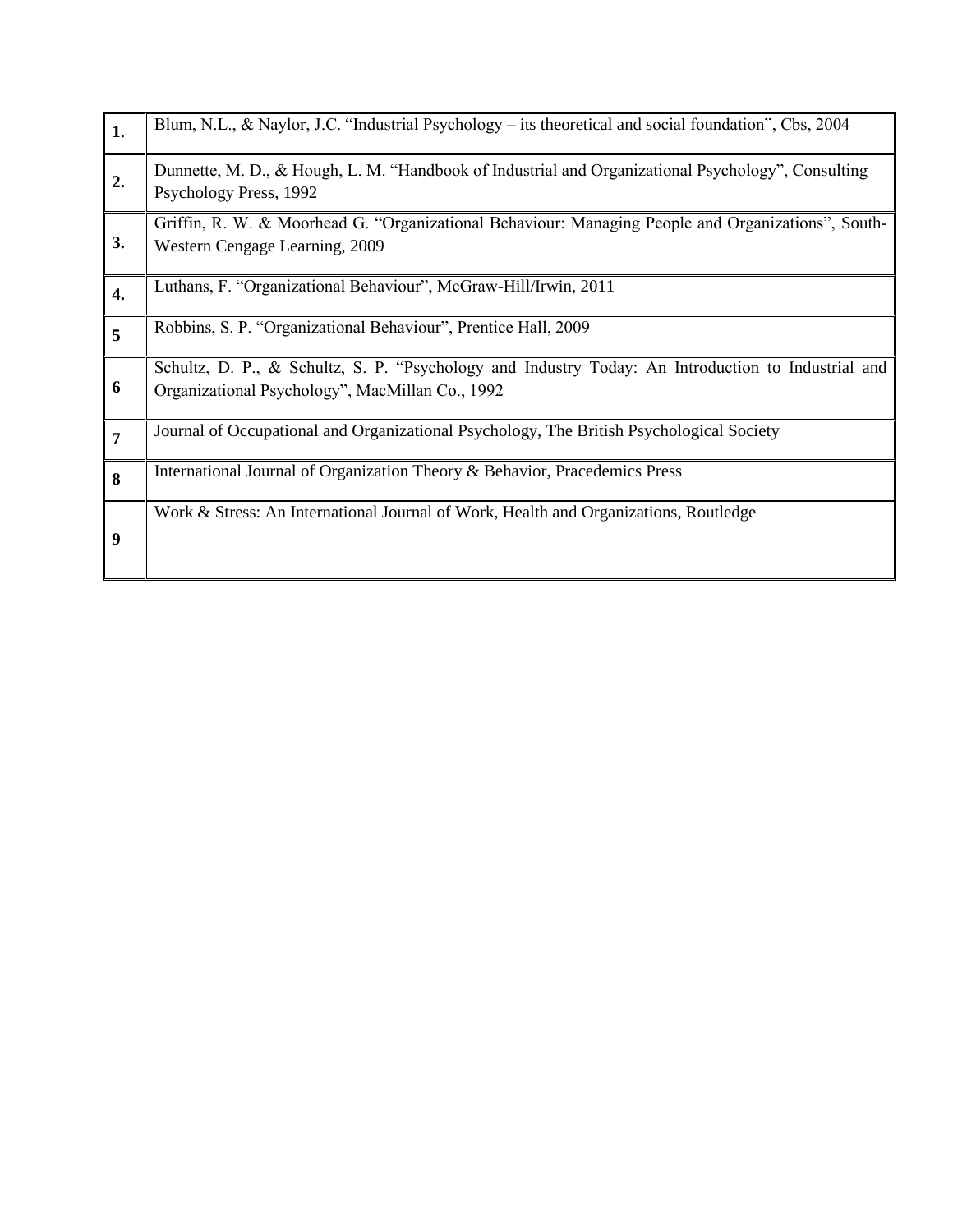| 1.             | Blum, N.L., $\&$ Naylor, J.C. "Industrial Psychology – its theoretical and social foundation", Cbs, 2004                                              |
|----------------|-------------------------------------------------------------------------------------------------------------------------------------------------------|
| 2.             | Dunnette, M. D., & Hough, L. M. "Handbook of Industrial and Organizational Psychology", Consulting<br>Psychology Press, 1992                          |
| 3.             | Griffin, R. W. & Moorhead G. "Organizational Behaviour: Managing People and Organizations", South-<br>Western Cengage Learning, 2009                  |
| 4.             | Luthans, F. "Organizational Behaviour", McGraw-Hill/Irwin, 2011                                                                                       |
| 5              | Robbins, S. P. "Organizational Behaviour", Prentice Hall, 2009                                                                                        |
| 6              | Schultz, D. P., & Schultz, S. P. "Psychology and Industry Today: An Introduction to Industrial and<br>Organizational Psychology", MacMillan Co., 1992 |
| $\overline{7}$ | Journal of Occupational and Organizational Psychology, The British Psychological Society                                                              |
| 8              | International Journal of Organization Theory & Behavior, Pracedemics Press                                                                            |
| 9              | Work & Stress: An International Journal of Work, Health and Organizations, Routledge                                                                  |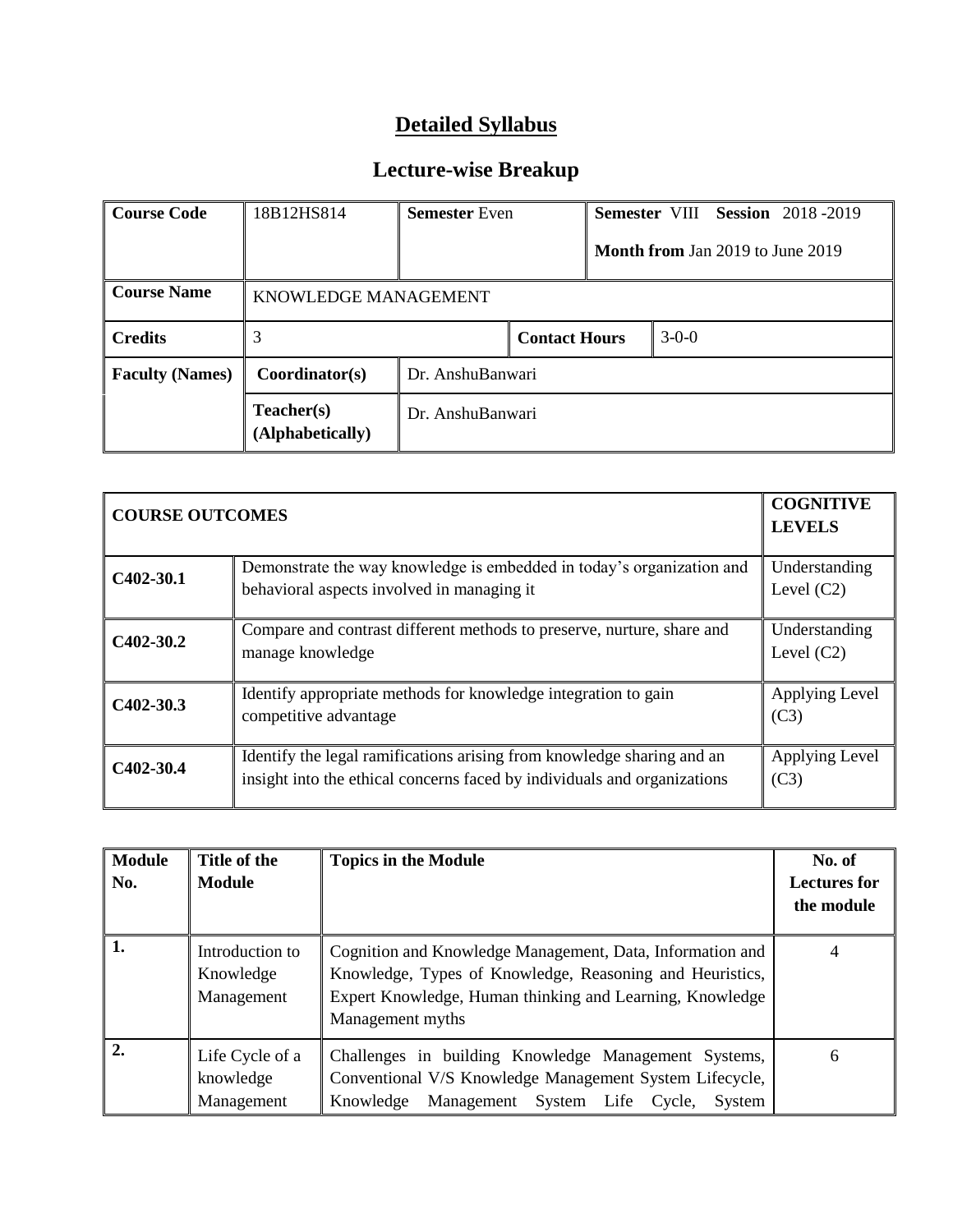| <b>Course Code</b>     | 18B12HS814<br><b>Semester</b> Even |                  |                      |         |  |                                         | Semester VIII Session 2018-2019 |
|------------------------|------------------------------------|------------------|----------------------|---------|--|-----------------------------------------|---------------------------------|
|                        |                                    |                  |                      |         |  | <b>Month from Jan 2019 to June 2019</b> |                                 |
| <b>Course Name</b>     | KNOWLEDGE MANAGEMENT               |                  |                      |         |  |                                         |                                 |
| <b>Credits</b>         | 3                                  |                  | <b>Contact Hours</b> | $3-0-0$ |  |                                         |                                 |
| <b>Faculty (Names)</b> | Coordinator(s)                     | Dr. AnshuBanwari |                      |         |  |                                         |                                 |
|                        | Teacher(s)<br>(Alphabetically)     | Dr. AnshuBanwari |                      |         |  |                                         |                                 |

| <b>COURSE OUTCOMES</b> |                                                                                                                                                    | <b>COGNITIVE</b><br><b>LEVELS</b> |
|------------------------|----------------------------------------------------------------------------------------------------------------------------------------------------|-----------------------------------|
| $C402-30.1$            | Demonstrate the way knowledge is embedded in today's organization and<br>behavioral aspects involved in managing it                                | Understanding<br>Level $(C2)$     |
| $C402-30.2$            | Compare and contrast different methods to preserve, nurture, share and<br>manage knowledge                                                         | Understanding<br>Level $(C2)$     |
| $C402-30.3$            | Identify appropriate methods for knowledge integration to gain<br>competitive advantage                                                            | Applying Level<br>(C3)            |
| C <sub>402</sub> -30.4 | Identify the legal ramifications arising from knowledge sharing and an<br>insight into the ethical concerns faced by individuals and organizations | Applying Level<br>(C3)            |

| <b>Module</b><br>No. | Title of the<br><b>Module</b>              | <b>Topics in the Module</b>                                                                                                                                                                           | No. of<br><b>Lectures for</b><br>the module |
|----------------------|--------------------------------------------|-------------------------------------------------------------------------------------------------------------------------------------------------------------------------------------------------------|---------------------------------------------|
| 1.                   | Introduction to<br>Knowledge<br>Management | Cognition and Knowledge Management, Data, Information and<br>Knowledge, Types of Knowledge, Reasoning and Heuristics,<br>Expert Knowledge, Human thinking and Learning, Knowledge<br>Management myths |                                             |
| 2.                   | Life Cycle of a<br>knowledge<br>Management | Challenges in building Knowledge Management Systems,<br>Conventional V/S Knowledge Management System Lifecycle,<br>Management System Life Cycle,<br>Knowledge<br>System                               | 6                                           |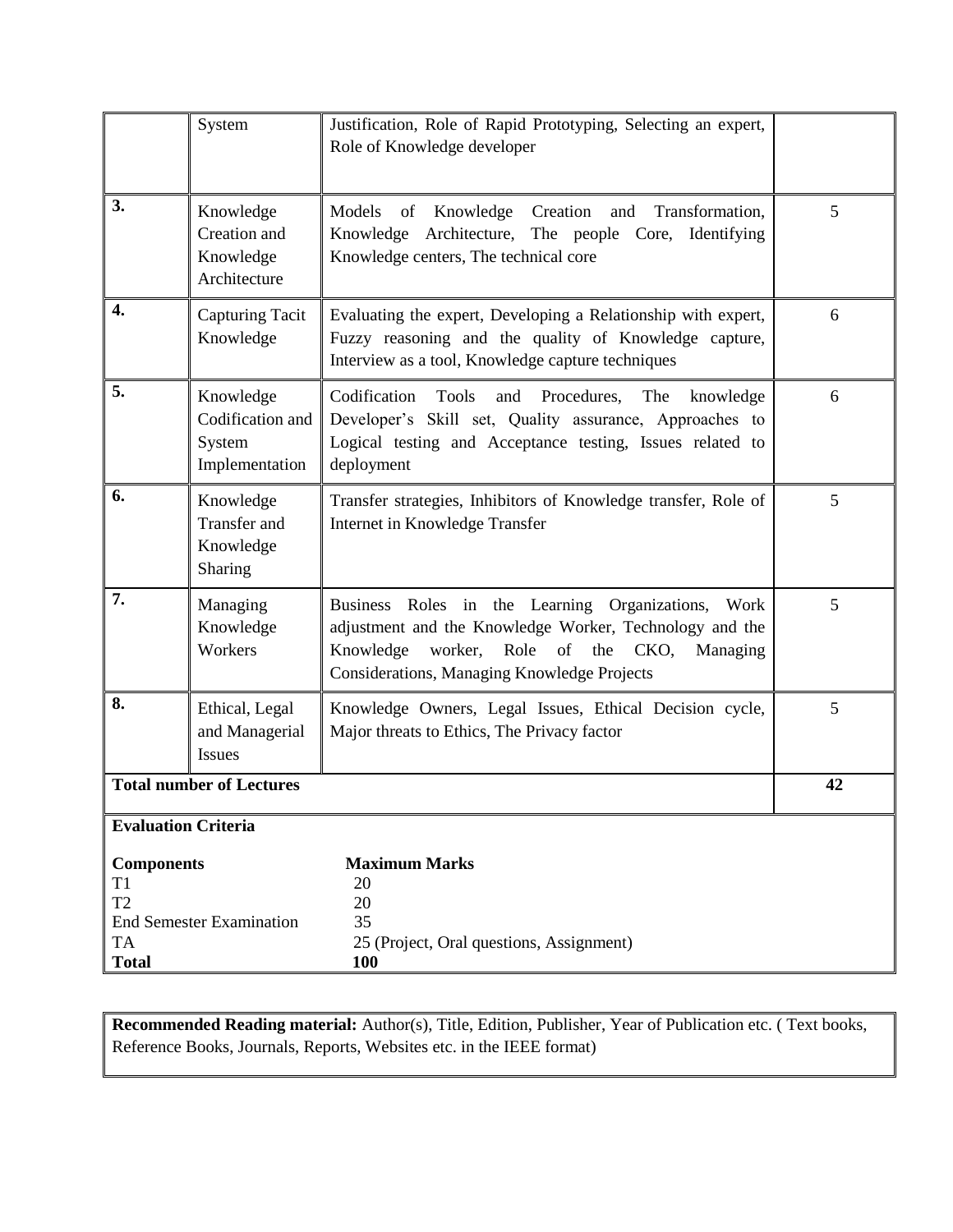|                                                                 | System                                                    | Justification, Role of Rapid Prototyping, Selecting an expert,<br>Role of Knowledge developer                                                                                                                                 |   |  |
|-----------------------------------------------------------------|-----------------------------------------------------------|-------------------------------------------------------------------------------------------------------------------------------------------------------------------------------------------------------------------------------|---|--|
| 3.                                                              | Knowledge<br>Creation and<br>Knowledge<br>Architecture    | Models of Knowledge Creation<br>Transformation,<br>and<br>Knowledge Architecture, The people Core, Identifying<br>Knowledge centers, The technical core                                                                       | 5 |  |
| 4.                                                              | <b>Capturing Tacit</b><br>Knowledge                       | Evaluating the expert, Developing a Relationship with expert,<br>Fuzzy reasoning and the quality of Knowledge capture,<br>Interview as a tool, Knowledge capture techniques                                                   | 6 |  |
| 5.                                                              | Knowledge<br>Codification and<br>System<br>Implementation | Codification<br>Tools<br>and Procedures,<br>The<br>knowledge<br>Developer's Skill set, Quality assurance, Approaches to<br>Logical testing and Acceptance testing, Issues related to<br>deployment                            | 6 |  |
| 6.                                                              | Knowledge<br>Transfer and<br>Knowledge<br>Sharing         | Transfer strategies, Inhibitors of Knowledge transfer, Role of<br>Internet in Knowledge Transfer                                                                                                                              | 5 |  |
| 7.                                                              | Managing<br>Knowledge<br>Workers                          | Business Roles in the Learning Organizations,<br>Work<br>adjustment and the Knowledge Worker, Technology and the<br>of the<br>Knowledge<br>worker,<br>Role<br>CKO,<br>Managing<br>Considerations, Managing Knowledge Projects | 5 |  |
| 8.                                                              | Ethical, Legal<br>and Managerial<br><b>Issues</b>         | Knowledge Owners, Legal Issues, Ethical Decision cycle,<br>Major threats to Ethics, The Privacy factor                                                                                                                        | 5 |  |
| <b>Total number of Lectures</b>                                 |                                                           |                                                                                                                                                                                                                               |   |  |
| <b>Evaluation Criteria</b>                                      |                                                           |                                                                                                                                                                                                                               |   |  |
| <b>Components</b><br>T1<br>T <sub>2</sub><br>TA<br><b>Total</b> | <b>End Semester Examination</b>                           | <b>Maximum Marks</b><br>20<br>20<br>35<br>25 (Project, Oral questions, Assignment)<br><b>100</b>                                                                                                                              |   |  |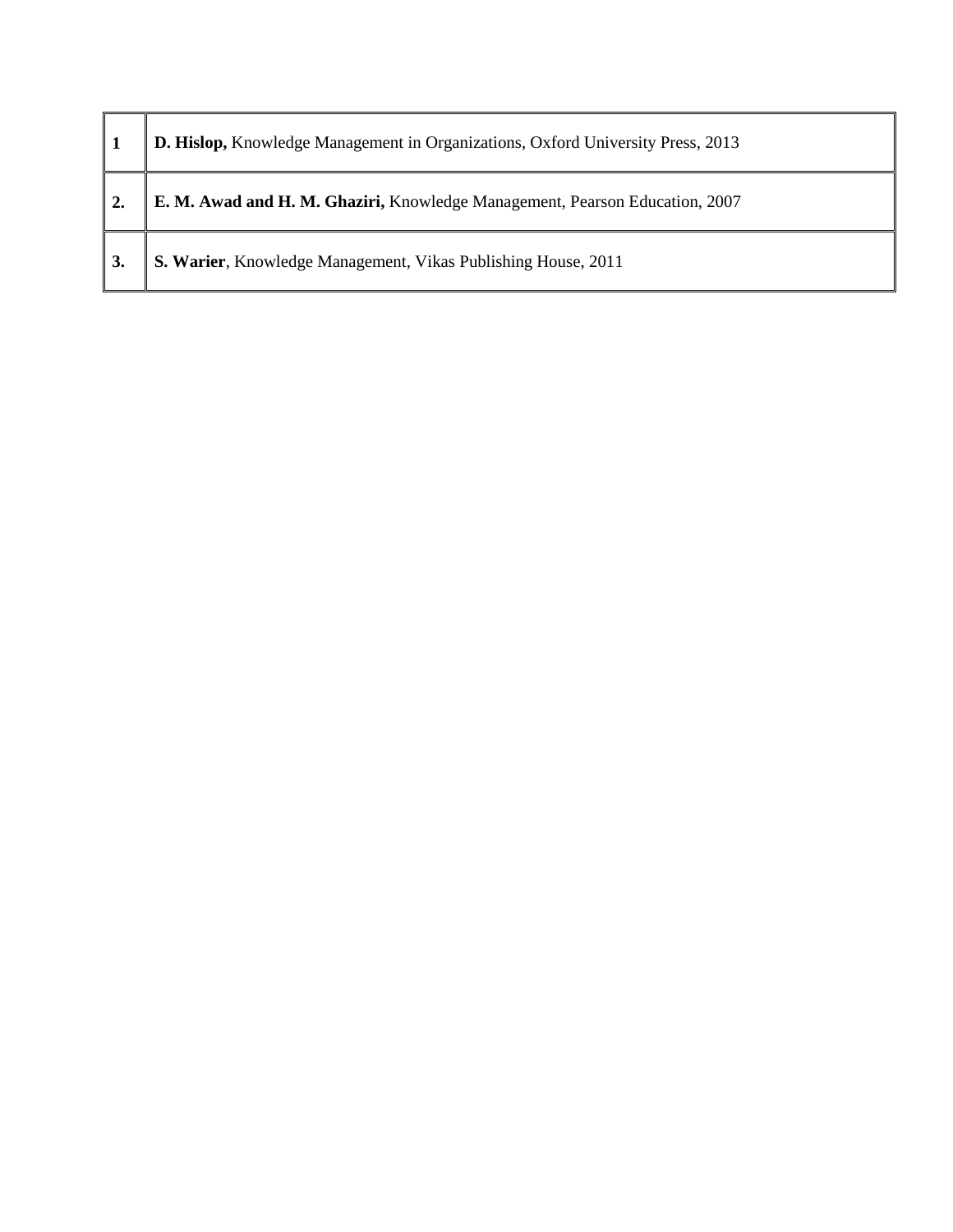| D. Hislop, Knowledge Management in Organizations, Oxford University Press, 2013 |
|---------------------------------------------------------------------------------|
| E. M. Awad and H. M. Ghaziri, Knowledge Management, Pearson Education, 2007     |
| S. Warier, Knowledge Management, Vikas Publishing House, 2011                   |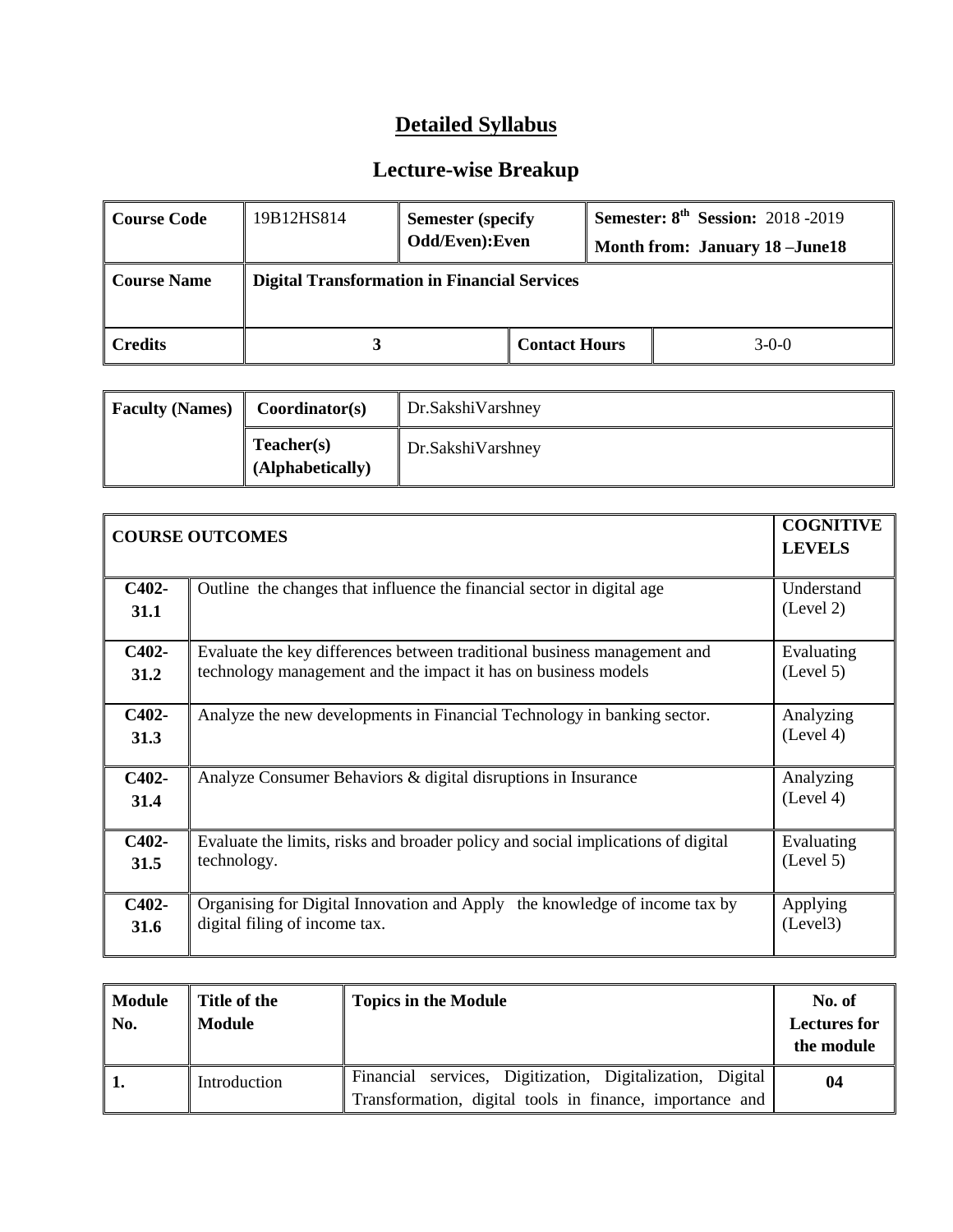| Course Code        | 19B12HS814 | <b>Semester (specify)</b><br>Odd/Even): Even        |                      |  | <b>Semester: 8th Session: 2018 -2019</b><br><b>Month from: January 18 - June 18</b> |
|--------------------|------------|-----------------------------------------------------|----------------------|--|-------------------------------------------------------------------------------------|
| <b>Course Name</b> |            | <b>Digital Transformation in Financial Services</b> |                      |  |                                                                                     |
| Credits            |            |                                                     | <b>Contact Hours</b> |  | $3-0-0$                                                                             |

| <b>Faculty (Names)</b> | Coordinator(s)                 | Dr.SakshiVarshney |
|------------------------|--------------------------------|-------------------|
|                        | Teacher(s)<br>(Alphabetically) | Dr.SakshiVarshney |

|               | <b>COGNITIVE</b><br><b>COURSE OUTCOMES</b><br><b>LEVELS</b>                                                                                |                         |  |
|---------------|--------------------------------------------------------------------------------------------------------------------------------------------|-------------------------|--|
| C402-<br>31.1 | Outline the changes that influence the financial sector in digital age                                                                     | Understand<br>(Level 2) |  |
| C402-<br>31.2 | Evaluate the key differences between traditional business management and<br>technology management and the impact it has on business models | Evaluating<br>(Level 5) |  |
| C402-<br>31.3 | Analyze the new developments in Financial Technology in banking sector.                                                                    | Analyzing<br>(Level 4)  |  |
| C402-<br>31.4 | Analyze Consumer Behaviors & digital disruptions in Insurance                                                                              | Analyzing<br>(Level 4)  |  |
| C402-<br>31.5 | Evaluate the limits, risks and broader policy and social implications of digital<br>technology.                                            | Evaluating<br>(Level 5) |  |
| C402-<br>31.6 | Organising for Digital Innovation and Apply the knowledge of income tax by<br>digital filing of income tax.                                | Applying<br>(Level3)    |  |

| Module<br>No. | Title of the<br>Module | <b>Topics in the Module</b>                                                                                           | No. of<br><b>Lectures for</b><br>the module |
|---------------|------------------------|-----------------------------------------------------------------------------------------------------------------------|---------------------------------------------|
|               | Introduction           | Financial services, Digitization, Digitalization, Digital<br>Transformation, digital tools in finance, importance and | 04                                          |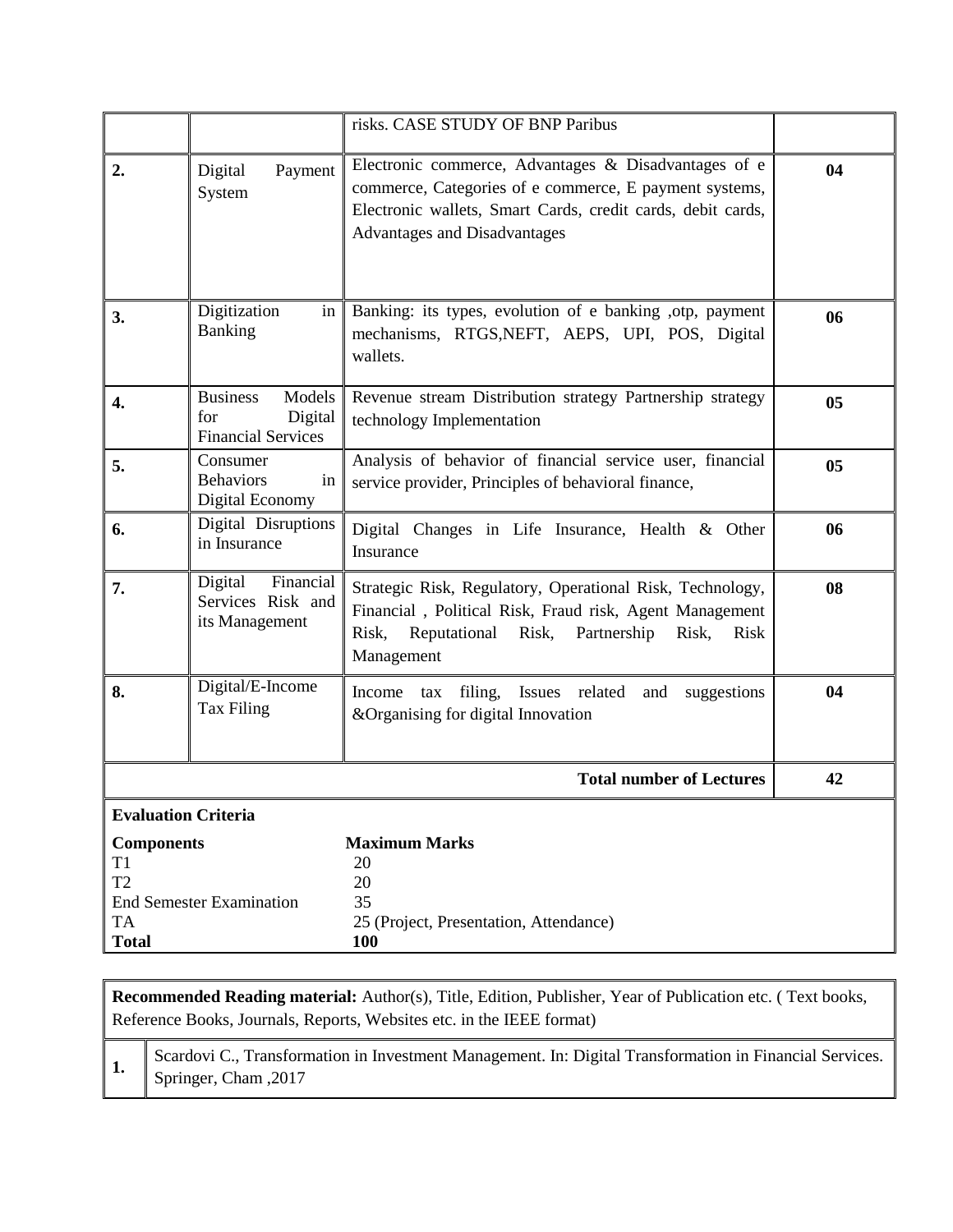|                                                                 |                                                                          | risks. CASE STUDY OF BNP Paribus                                                                                                                                                                              |    |
|-----------------------------------------------------------------|--------------------------------------------------------------------------|---------------------------------------------------------------------------------------------------------------------------------------------------------------------------------------------------------------|----|
| 2.                                                              | Payment<br>Digital<br>System                                             | Electronic commerce, Advantages & Disadvantages of e<br>commerce, Categories of e commerce, E payment systems,<br>Electronic wallets, Smart Cards, credit cards, debit cards,<br>Advantages and Disadvantages | 04 |
| 3.                                                              | Digitization<br>in<br><b>Banking</b>                                     | Banking: its types, evolution of e banking , otp, payment<br>mechanisms, RTGS, NEFT, AEPS, UPI, POS, Digital<br>wallets.                                                                                      | 06 |
| $\overline{4}$ .                                                | <b>Business</b><br>Models<br>Digital<br>for<br><b>Financial Services</b> | Revenue stream Distribution strategy Partnership strategy<br>technology Implementation                                                                                                                        | 05 |
| 5.                                                              | Consumer<br><b>Behaviors</b><br>in<br>Digital Economy                    | Analysis of behavior of financial service user, financial<br>service provider, Principles of behavioral finance,                                                                                              | 05 |
| 6.                                                              | Digital Disruptions<br>in Insurance                                      | Digital Changes in Life Insurance, Health & Other<br>Insurance                                                                                                                                                | 06 |
| 7.                                                              | Financial<br>Digital<br>Services Risk and<br>its Management              | Strategic Risk, Regulatory, Operational Risk, Technology,<br>Financial, Political Risk, Fraud risk, Agent Management<br>Reputational<br>Risk,<br>Partnership<br>Risk,<br>Risk,<br>Risk<br>Management          | 08 |
| 8.                                                              | Digital/E-Income<br>Tax Filing                                           | filing,<br>Issues related<br>Income tax<br>and<br>suggestions<br>&Organising for digital Innovation                                                                                                           | 04 |
|                                                                 |                                                                          | <b>Total number of Lectures</b>                                                                                                                                                                               | 42 |
| <b>Evaluation Criteria</b>                                      |                                                                          |                                                                                                                                                                                                               |    |
| <b>Components</b><br>T1<br>T <sub>2</sub><br>TA<br><b>Total</b> | <b>End Semester Examination</b>                                          | <b>Maximum Marks</b><br>20<br>20<br>35<br>25 (Project, Presentation, Attendance)<br><b>100</b>                                                                                                                |    |

**1.** Scardovi C., Transformation in Investment Management. In: Digital Transformation in Financial Services. Springer, Cham ,2017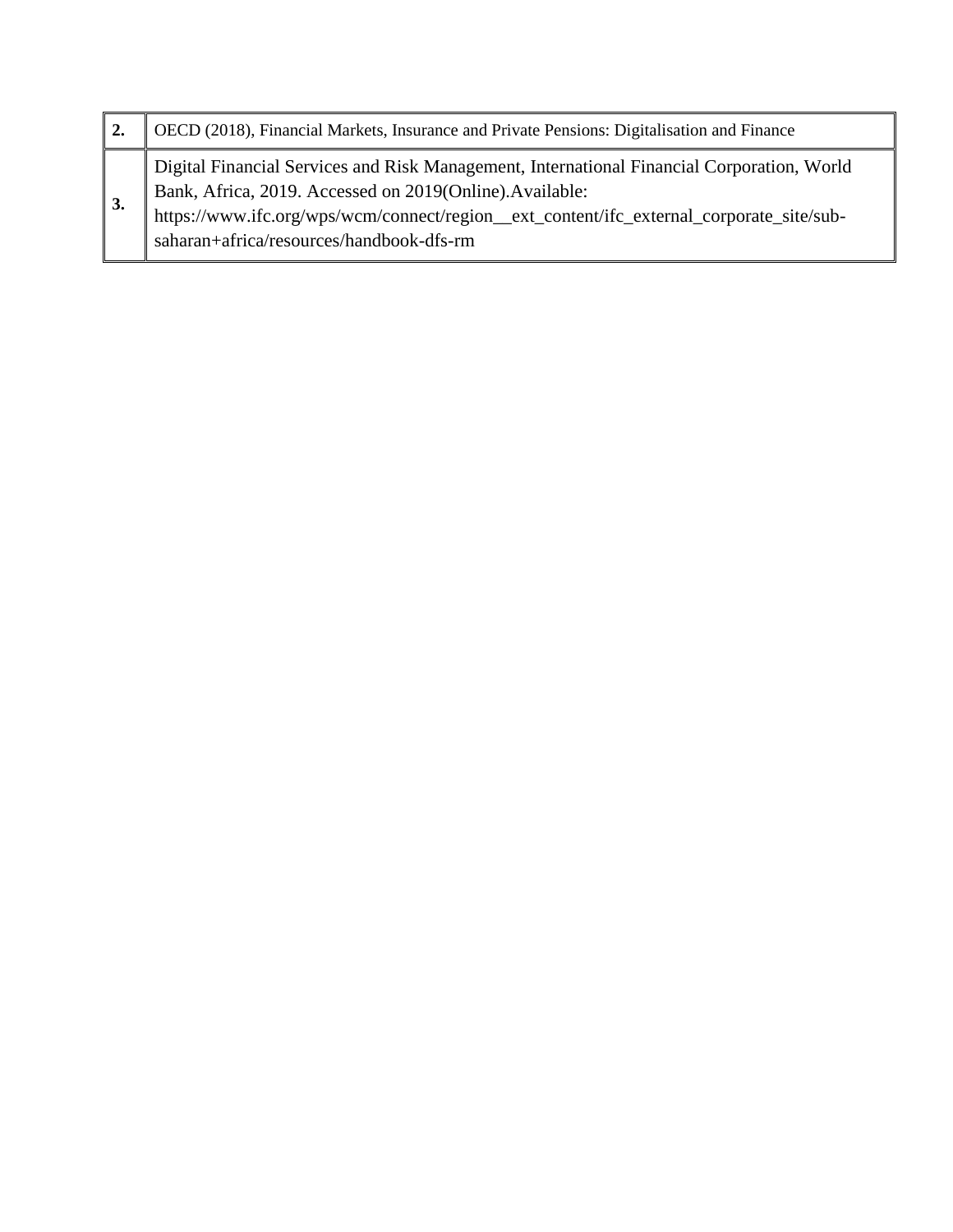| OECD (2018), Financial Markets, Insurance and Private Pensions: Digitalisation and Finance                                                                                                                                                                                                   |
|----------------------------------------------------------------------------------------------------------------------------------------------------------------------------------------------------------------------------------------------------------------------------------------------|
| Digital Financial Services and Risk Management, International Financial Corporation, World<br>Bank, Africa, 2019. Accessed on 2019(Online).Available:<br>https://www.ifc.org/wps/wcm/connect/region_ext_content/ifc_external_corporate_site/sub-<br>saharan+africa/resources/handbook-dfs-rm |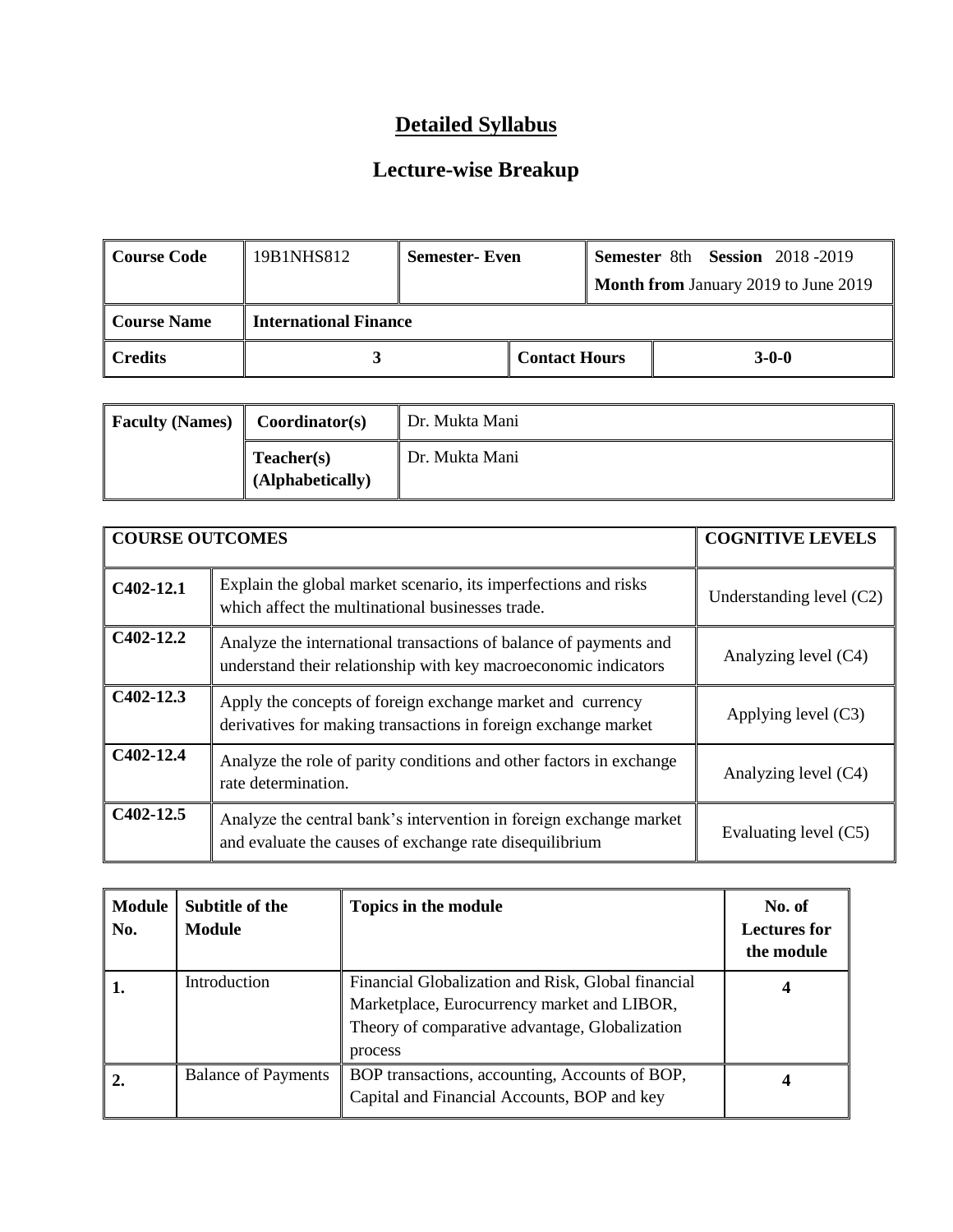| Course Code | 19B1NHS812                   | <b>Semester- Even</b> |                      | <b>Semester 8th Session 2018-2019</b>       |
|-------------|------------------------------|-----------------------|----------------------|---------------------------------------------|
|             |                              |                       |                      | <b>Month from January 2019 to June 2019</b> |
| Course Name | <b>International Finance</b> |                       |                      |                                             |
| ∥ Credits   |                              |                       | <b>Contact Hours</b> | $3-0-0$                                     |

| <b>Faculty (Names)</b> | Coordinator(s)                 | Dr. Mukta Mani |
|------------------------|--------------------------------|----------------|
|                        | Teacher(s)<br>(Alphabetically) | Dr. Mukta Mani |

| <b>COURSE OUTCOMES</b> |                                                                                                                                      | <b>COGNITIVE LEVELS</b>  |
|------------------------|--------------------------------------------------------------------------------------------------------------------------------------|--------------------------|
| $C402-12.1$            | Explain the global market scenario, its imperfections and risks<br>which affect the multinational businesses trade.                  | Understanding level (C2) |
| $C402-12.2$            | Analyze the international transactions of balance of payments and<br>understand their relationship with key macroeconomic indicators | Analyzing level (C4)     |
| $C402-12.3$            | Apply the concepts of foreign exchange market and currency<br>derivatives for making transactions in foreign exchange market         | Applying level $(C3)$    |
| $C402-12.4$            | Analyze the role of parity conditions and other factors in exchange<br>rate determination.                                           | Analyzing level (C4)     |
| $C402-12.5$            | Analyze the central bank's intervention in foreign exchange market<br>and evaluate the causes of exchange rate disequilibrium        | Evaluating level (C5)    |

| No. | Module Subtitle of the<br>Module | Topics in the module                                                                                                                                           | No. of<br><b>Lectures for</b><br>the module |
|-----|----------------------------------|----------------------------------------------------------------------------------------------------------------------------------------------------------------|---------------------------------------------|
| ı.  | Introduction                     | Financial Globalization and Risk, Global financial<br>Marketplace, Eurocurrency market and LIBOR,<br>Theory of comparative advantage, Globalization<br>process |                                             |
|     | <b>Balance of Payments</b>       | BOP transactions, accounting, Accounts of BOP,<br>Capital and Financial Accounts, BOP and key                                                                  |                                             |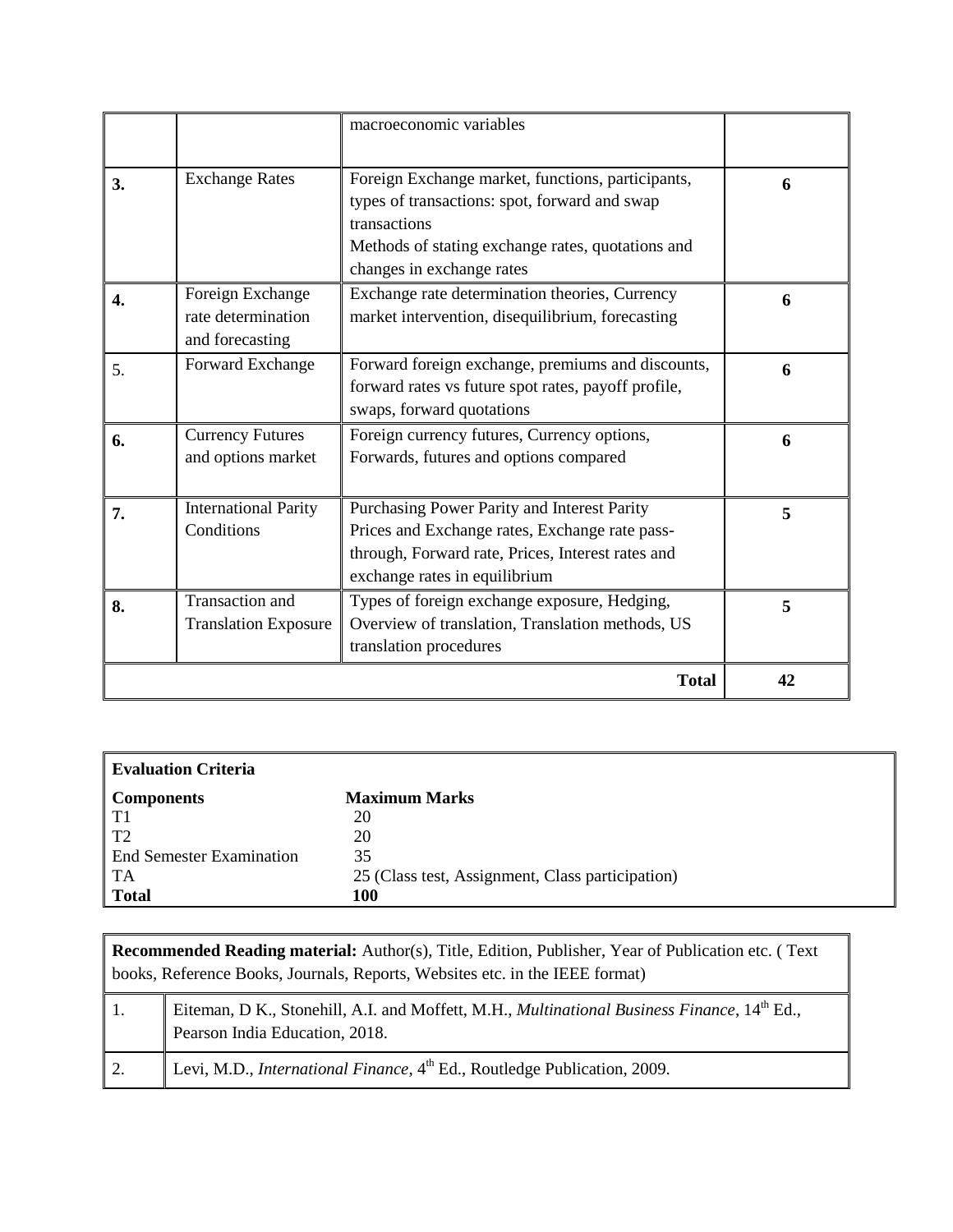|    |                                                           | macroeconomic variables                                                                                                                                                                              |    |
|----|-----------------------------------------------------------|------------------------------------------------------------------------------------------------------------------------------------------------------------------------------------------------------|----|
| 3. | <b>Exchange Rates</b>                                     | Foreign Exchange market, functions, participants,<br>types of transactions: spot, forward and swap<br>transactions<br>Methods of stating exchange rates, quotations and<br>changes in exchange rates | 6  |
| 4. | Foreign Exchange<br>rate determination<br>and forecasting | Exchange rate determination theories, Currency<br>market intervention, disequilibrium, forecasting                                                                                                   | 6  |
| 5. | Forward Exchange                                          | Forward foreign exchange, premiums and discounts,<br>forward rates vs future spot rates, payoff profile,<br>swaps, forward quotations                                                                | 6  |
| 6. | <b>Currency Futures</b><br>and options market             | Foreign currency futures, Currency options,<br>Forwards, futures and options compared                                                                                                                | 6  |
| 7. | <b>International Parity</b><br>Conditions                 | Purchasing Power Parity and Interest Parity<br>Prices and Exchange rates, Exchange rate pass-<br>through, Forward rate, Prices, Interest rates and<br>exchange rates in equilibrium                  | 5  |
| 8. | <b>Transaction</b> and<br><b>Translation Exposure</b>     | Types of foreign exchange exposure, Hedging,<br>Overview of translation, Translation methods, US<br>translation procedures                                                                           | 5  |
|    |                                                           | <b>Total</b>                                                                                                                                                                                         | 42 |

| <b>Evaluation Criteria</b>      |                                                  |
|---------------------------------|--------------------------------------------------|
| Components                      | <b>Maximum Marks</b>                             |
| T1                              | 20                                               |
| T <sub>2</sub>                  | 20                                               |
| <b>End Semester Examination</b> | 35                                               |
| TA                              | 25 (Class test, Assignment, Class participation) |
| Total                           | 100                                              |

|    | <b>Recommended Reading material:</b> Author(s), Title, Edition, Publisher, Year of Publication etc. (Text<br>books, Reference Books, Journals, Reports, Websites etc. in the IEEE format) |  |  |
|----|-------------------------------------------------------------------------------------------------------------------------------------------------------------------------------------------|--|--|
|    | Eiteman, D K., Stonehill, A.I. and Moffett, M.H., Multinational Business Finance, 14 <sup>th</sup> Ed.,<br>Pearson India Education, 2018.                                                 |  |  |
| 2. | Levi, M.D., <i>International Finance</i> , 4 <sup>th</sup> Ed., Routledge Publication, 2009.                                                                                              |  |  |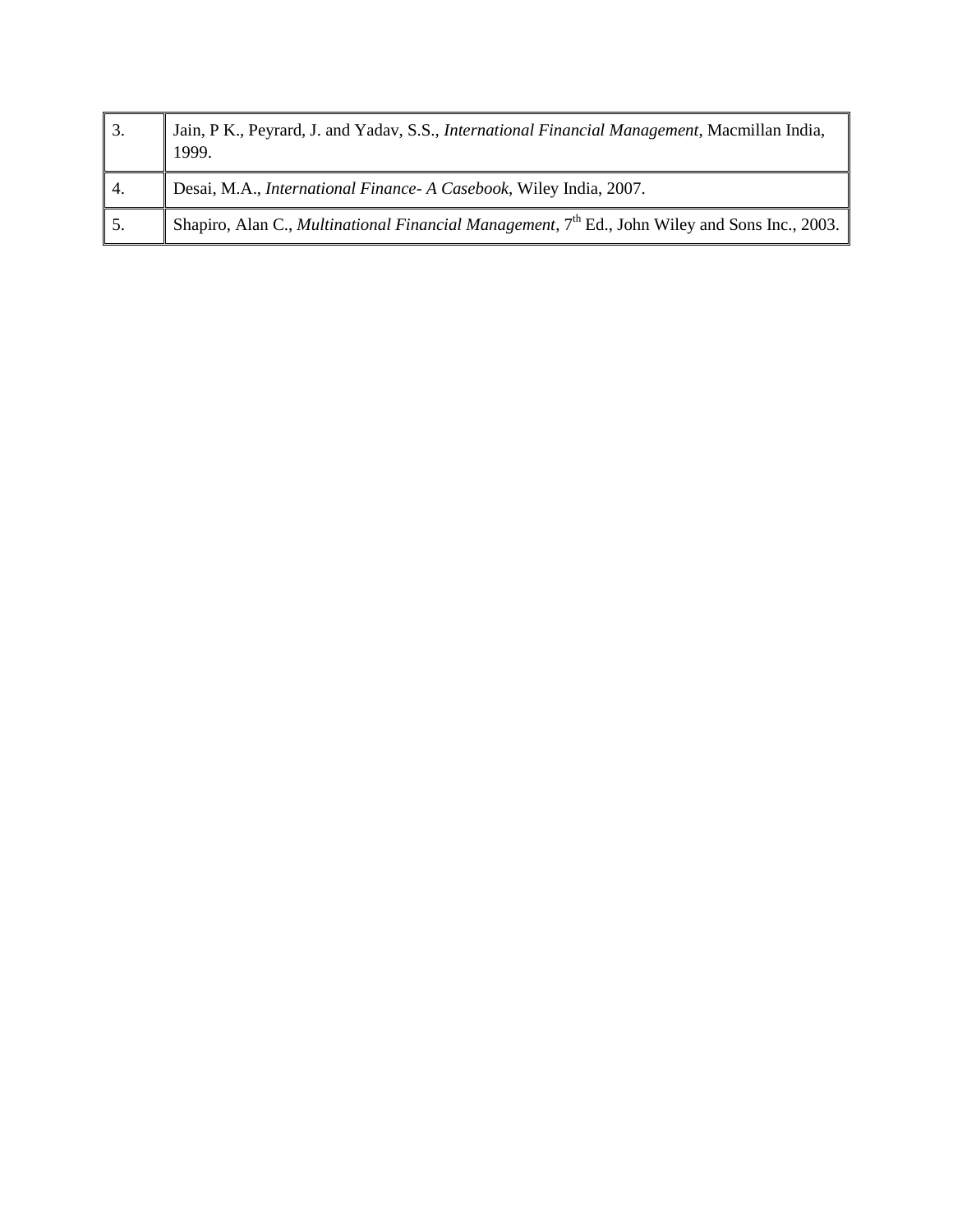| $\vert$ 3.       | Jain, P K., Peyrard, J. and Yadav, S.S., <i>International Financial Management</i> , Macmillan India,<br>1999.     |
|------------------|--------------------------------------------------------------------------------------------------------------------|
| $\overline{4}$ . | Desai, M.A., International Finance- A Casebook, Wiley India, 2007.                                                 |
| 5.               | Shapiro, Alan C., <i>Multinational Financial Management</i> , 7 <sup>th</sup> Ed., John Wiley and Sons Inc., 2003. |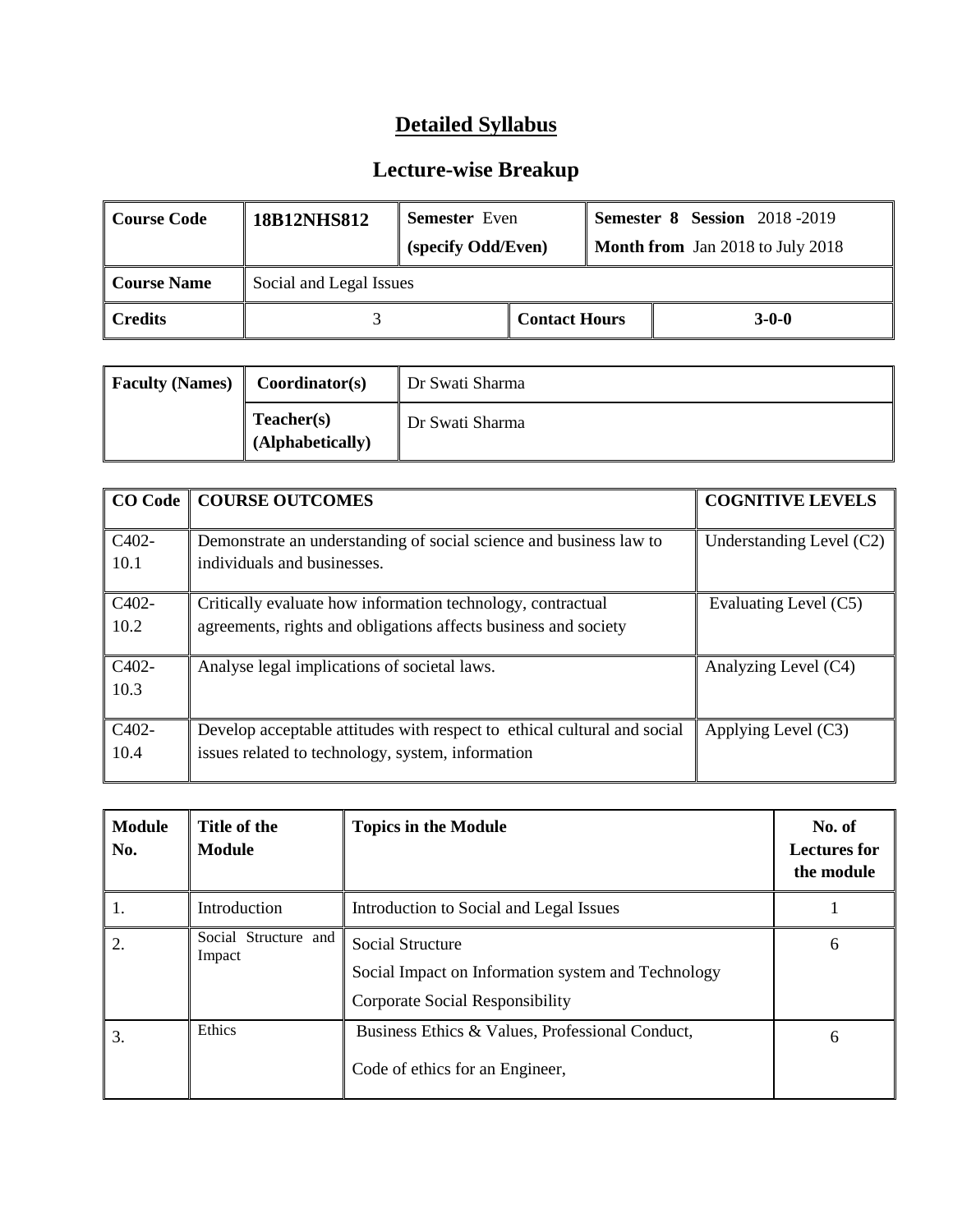| Course Code        | <b>18B12NHS812</b>      | <b>Semester</b> Even<br>(specify Odd/Even) |                      | <b>Semester 8 Session</b> 2018-2019<br>Month from Jan 2018 to July 2018 |  |
|--------------------|-------------------------|--------------------------------------------|----------------------|-------------------------------------------------------------------------|--|
| <b>Course Name</b> | Social and Legal Issues |                                            |                      |                                                                         |  |
| ∥ Credits          |                         |                                            | <b>Contact Hours</b> | $3-0-0$                                                                 |  |

| <b>Faculty (Names)</b> | Coordinator(s)                 | Dr Swati Sharma |
|------------------------|--------------------------------|-----------------|
|                        | Teacher(s)<br>(Alphabetically) | Dr Swati Sharma |

|                                 | <b>CO Code   COURSE OUTCOMES</b>                                         | <b>COGNITIVE LEVELS</b>    |
|---------------------------------|--------------------------------------------------------------------------|----------------------------|
| C <sub>4</sub> 0 <sub>2</sub> - | Demonstrate an understanding of social science and business law to       | Understanding Level $(C2)$ |
| 10.1                            | individuals and businesses.                                              |                            |
| C <sub>4</sub> 0 <sub>2</sub> - | Critically evaluate how information technology, contractual              | Evaluating Level (C5)      |
| 10.2                            | agreements, rights and obligations affects business and society          |                            |
| C402-                           | Analyse legal implications of societal laws.                             | Analyzing Level (C4)       |
| 10.3                            |                                                                          |                            |
| C402-                           | Develop acceptable attitudes with respect to ethical cultural and social | Applying Level (C3)        |
| 10.4                            | issues related to technology, system, information                        |                            |

| <b>Module</b><br>No. | Title of the<br><b>Module</b>  | <b>Topics in the Module</b>                                                                                      | No. of<br><b>Lectures for</b><br>the module |
|----------------------|--------------------------------|------------------------------------------------------------------------------------------------------------------|---------------------------------------------|
| 1.                   | Introduction                   | Introduction to Social and Legal Issues                                                                          |                                             |
| 2.                   | Social Structure and<br>Impact | <b>Social Structure</b><br>Social Impact on Information system and Technology<br>Corporate Social Responsibility | 6                                           |
| 3.                   | Ethics                         | Business Ethics & Values, Professional Conduct,<br>Code of ethics for an Engineer,                               | 6                                           |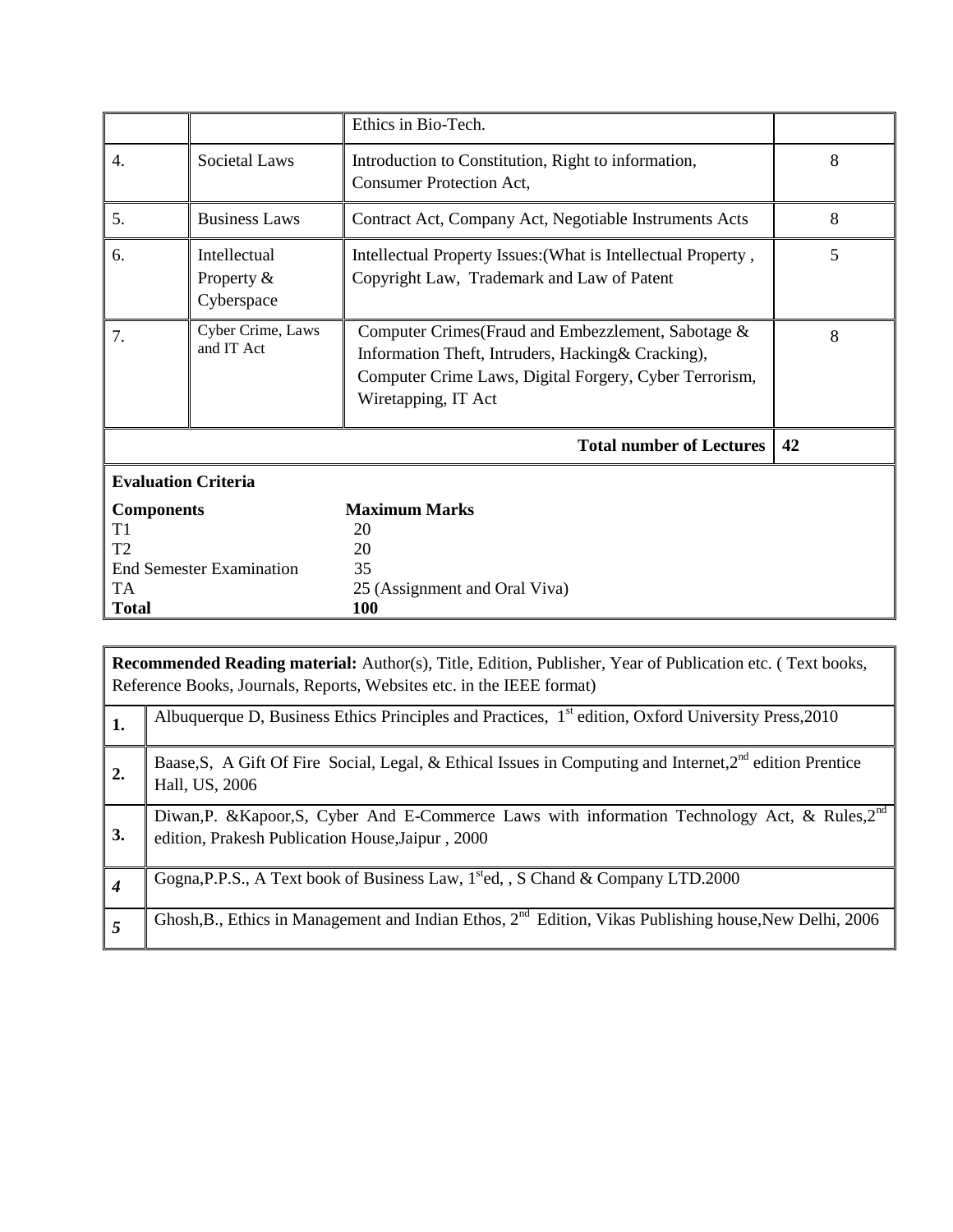|                                                                                                    |                                             | Ethics in Bio-Tech.                                                                                                                                                                       |    |  |
|----------------------------------------------------------------------------------------------------|---------------------------------------------|-------------------------------------------------------------------------------------------------------------------------------------------------------------------------------------------|----|--|
| 4.                                                                                                 | Societal Laws                               | Introduction to Constitution, Right to information,<br><b>Consumer Protection Act,</b>                                                                                                    | 8  |  |
| 5.                                                                                                 | <b>Business Laws</b>                        | Contract Act, Company Act, Negotiable Instruments Acts                                                                                                                                    | 8  |  |
| 6.                                                                                                 | Intellectual<br>Property $\&$<br>Cyberspace | Intellectual Property Issues: (What is Intellectual Property,<br>Copyright Law, Trademark and Law of Patent                                                                               | 5  |  |
| 7.                                                                                                 | Cyber Crime, Laws<br>and IT Act             | Computer Crimes (Fraud and Embezzlement, Sabotage &<br>Information Theft, Intruders, Hacking& Cracking),<br>Computer Crime Laws, Digital Forgery, Cyber Terrorism,<br>Wiretapping, IT Act | 8  |  |
|                                                                                                    |                                             | <b>Total number of Lectures</b>                                                                                                                                                           | 42 |  |
| <b>Evaluation Criteria</b>                                                                         |                                             |                                                                                                                                                                                           |    |  |
| <b>Components</b><br>T1<br>T <sub>2</sub><br><b>End Semester Examination</b><br>TA<br><b>Total</b> |                                             | <b>Maximum Marks</b><br>20<br>20<br>35<br>25 (Assignment and Oral Viva)<br><b>100</b>                                                                                                     |    |  |

|                | <b>Recommended Reading material:</b> Author(s), Title, Edition, Publisher, Year of Publication etc. (Text books,<br>Reference Books, Journals, Reports, Websites etc. in the IEEE format) |  |  |
|----------------|-------------------------------------------------------------------------------------------------------------------------------------------------------------------------------------------|--|--|
| 1.             | Albuquerque D, Business Ethics Principles and Practices, $1st$ edition, Oxford University Press, 2010                                                                                     |  |  |
| $\overline{2}$ | Baase, S, A Gift Of Fire Social, Legal, & Ethical Issues in Computing and Internet, $2nd$ edition Prentice<br>Hall, US, 2006                                                              |  |  |
| 3.             | Diwan, P. & Kapoor, S. Cyber And E-Commerce Laws with information Technology Act, & Rules, 2 <sup>nd</sup><br>edition, Prakesh Publication House, Jaipur, 2000                            |  |  |
| 4              | Gogna, P.P.S., A Text book of Business Law, 1 <sup>st</sup> ed, 5 Chand & Company LTD.2000                                                                                                |  |  |
|                | Ghosh, B., Ethics in Management and Indian Ethos, $2^{nd}$ Edition, Vikas Publishing house, New Delhi, 2006                                                                               |  |  |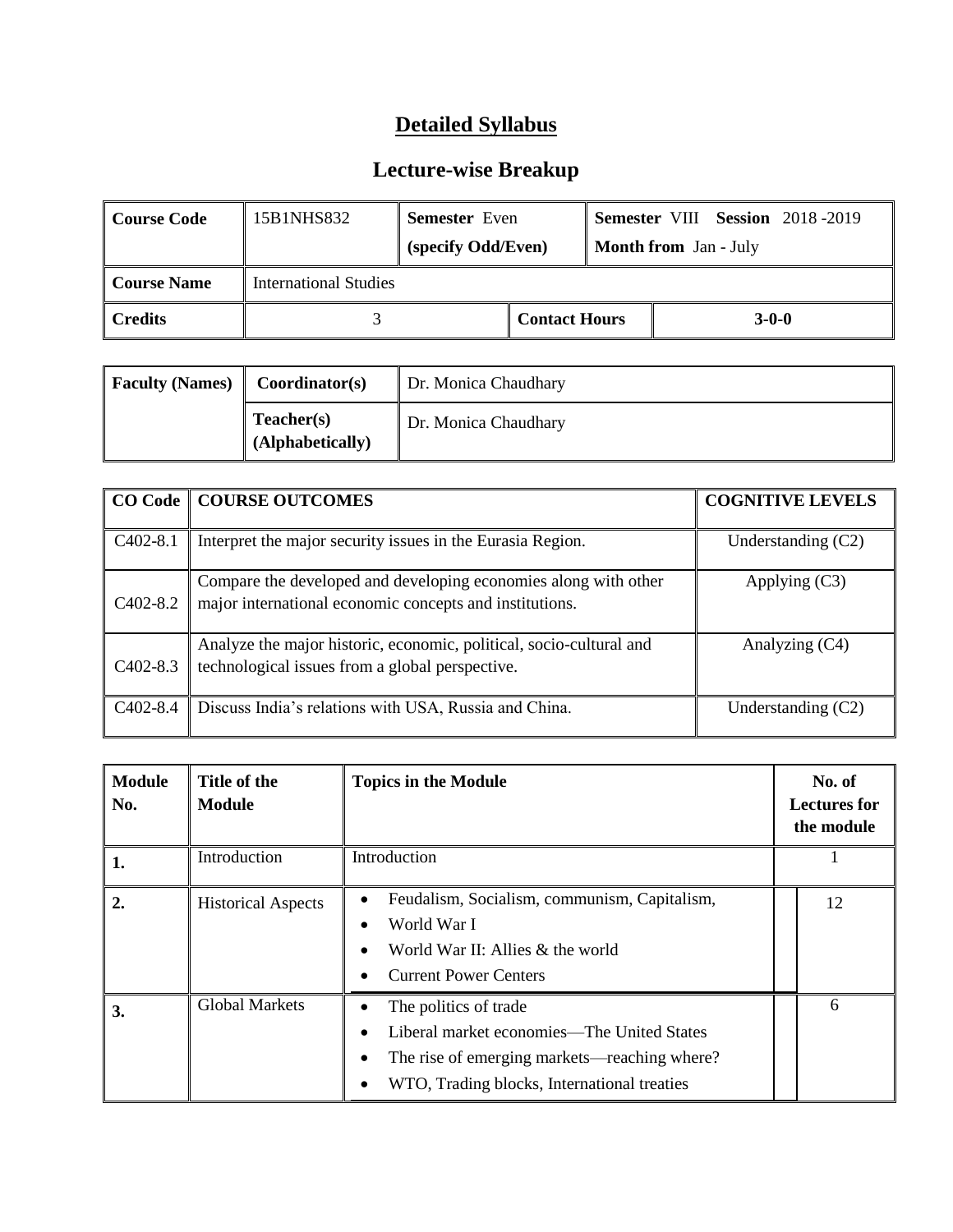| <b>Course Code</b> | 15B1NHS832            | <b>Semester</b> Even |                      |                              | <b>Semester VIII Session 2018-2019</b> |
|--------------------|-----------------------|----------------------|----------------------|------------------------------|----------------------------------------|
|                    |                       | (specify Odd/Even)   |                      | <b>Month from</b> Jan - July |                                        |
| <b>Course Name</b> | International Studies |                      |                      |                              |                                        |
| <b>Credits</b>     |                       |                      | <b>Contact Hours</b> |                              | $3-0-0$                                |

| <b>Faculty (Names)</b> | Dr. Monica Chaudhary<br>Coordinator(s) |                      |
|------------------------|----------------------------------------|----------------------|
|                        | Teacher(s)<br>(Alphabetically)         | Dr. Monica Chaudhary |

|                       | <b>CO Code   COURSE OUTCOMES</b>                                                                                           | <b>COGNITIVE LEVELS</b> |
|-----------------------|----------------------------------------------------------------------------------------------------------------------------|-------------------------|
| $C402-8.1$            | Interpret the major security issues in the Eurasia Region.                                                                 | Understanding $(C2)$    |
| C <sub>4</sub> 02-8.2 | Compare the developed and developing economies along with other<br>major international economic concepts and institutions. | Applying $(C3)$         |
| $C402-8.3$            | Analyze the major historic, economic, political, socio-cultural and<br>technological issues from a global perspective.     | Analyzing (C4)          |
| $C_{402-8.4}$         | Discuss India's relations with USA, Russia and China.                                                                      | Understanding $(C2)$    |

| <b>Module</b><br>No. | Title of the<br><b>Module</b> | <b>Topics in the Module</b>                                                                                                                                                                                            | No. of<br><b>Lectures for</b><br>the module |
|----------------------|-------------------------------|------------------------------------------------------------------------------------------------------------------------------------------------------------------------------------------------------------------------|---------------------------------------------|
| 1.                   | Introduction                  | Introduction                                                                                                                                                                                                           |                                             |
| 2.                   | <b>Historical Aspects</b>     | Feudalism, Socialism, communism, Capitalism,<br>$\bullet$<br>World War I<br>$\bullet$<br>World War II: Allies & the world<br><b>Current Power Centers</b>                                                              | 12                                          |
| 3.                   | <b>Global Markets</b>         | The politics of trade<br>$\bullet$<br>Liberal market economies—The United States<br>$\bullet$<br>The rise of emerging markets—reaching where?<br>$\bullet$<br>WTO, Trading blocks, International treaties<br>$\bullet$ | 6                                           |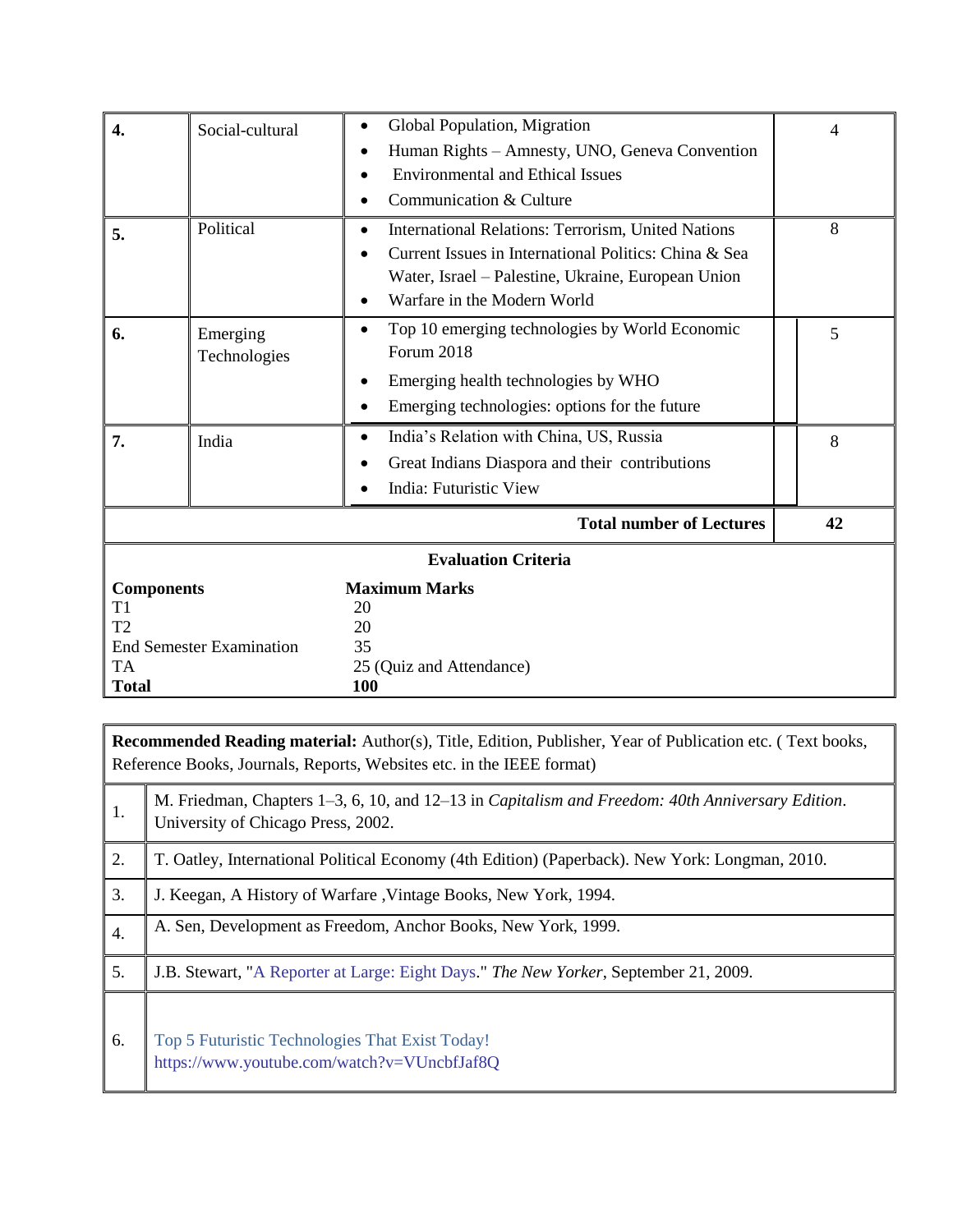| $\overline{4}$ .                                           | Social-cultural                 | Global Population, Migration<br>$\bullet$<br>Human Rights – Amnesty, UNO, Geneva Convention<br><b>Environmental and Ethical Issues</b><br>Communication & Culture                                | 4  |
|------------------------------------------------------------|---------------------------------|--------------------------------------------------------------------------------------------------------------------------------------------------------------------------------------------------|----|
| 5.                                                         | Political                       | International Relations: Terrorism, United Nations<br>Current Issues in International Politics: China & Sea<br>Water, Israel – Palestine, Ukraine, European Union<br>Warfare in the Modern World | 8  |
| 6.                                                         | Emerging<br>Technologies        | Top 10 emerging technologies by World Economic<br>Forum 2018<br>Emerging health technologies by WHO<br>Emerging technologies: options for the future<br>$\bullet$                                | 5  |
| 7.                                                         | India                           | India's Relation with China, US, Russia<br>$\bullet$<br>Great Indians Diaspora and their contributions<br>India: Futuristic View                                                                 | 8  |
|                                                            |                                 | <b>Total number of Lectures</b>                                                                                                                                                                  | 42 |
|                                                            |                                 | <b>Evaluation Criteria</b>                                                                                                                                                                       |    |
| <b>Components</b><br>T1<br>T2<br><b>TA</b><br><b>Total</b> | <b>End Semester Examination</b> | <b>Maximum Marks</b><br>20<br>20<br>35<br>25 (Quiz and Attendance)<br>100                                                                                                                        |    |

|                  | <b>Recommended Reading material:</b> Author(s), Title, Edition, Publisher, Year of Publication etc. (Text books,<br>Reference Books, Journals, Reports, Websites etc. in the IEEE format) |  |  |
|------------------|-------------------------------------------------------------------------------------------------------------------------------------------------------------------------------------------|--|--|
| 1.               | M. Friedman, Chapters 1–3, 6, 10, and 12–13 in Capitalism and Freedom: 40th Anniversary Edition.<br>University of Chicago Press, 2002.                                                    |  |  |
| 2.               | T. Oatley, International Political Economy (4th Edition) (Paperback). New York: Longman, 2010.                                                                                            |  |  |
| 3.               | J. Keegan, A History of Warfare, Vintage Books, New York, 1994.                                                                                                                           |  |  |
| $\overline{4}$ . | A. Sen, Development as Freedom, Anchor Books, New York, 1999.                                                                                                                             |  |  |
| 5.               | J.B. Stewart, "A Reporter at Large: Eight Days." The New Yorker, September 21, 2009.                                                                                                      |  |  |
| 6.               | Top 5 Futuristic Technologies That Exist Today!<br>https://www.youtube.com/watch?v=VUncbfJaf8Q                                                                                            |  |  |